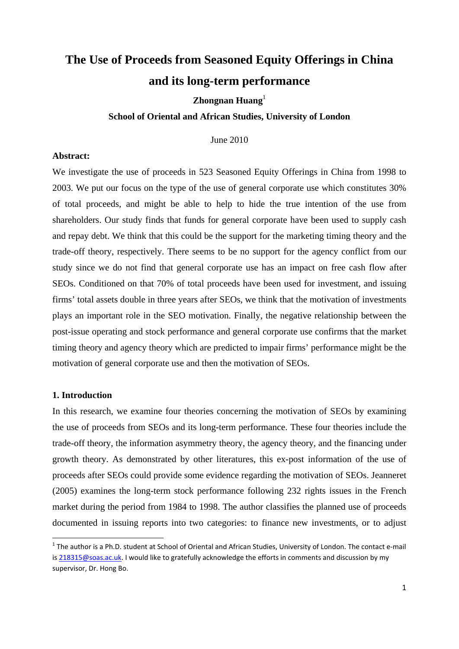# **The Use of Proceeds from Seasoned Equity Offerings in China and its long-term performance**

## **Zhongnan Huang**<sup>1</sup>

#### **School of Oriental and African Studies, University of London**

June 2010

#### **Abstract:**

We investigate the use of proceeds in 523 Seasoned Equity Offerings in China from 1998 to 2003. We put our focus on the type of the use of general corporate use which constitutes 30% of total proceeds, and might be able to help to hide the true intention of the use from shareholders. Our study finds that funds for general corporate have been used to supply cash and repay debt. We think that this could be the support for the marketing timing theory and the trade-off theory, respectively. There seems to be no support for the agency conflict from our study since we do not find that general corporate use has an impact on free cash flow after SEOs. Conditioned on that 70% of total proceeds have been used for investment, and issuing firms' total assets double in three years after SEOs, we think that the motivation of investments plays an important role in the SEO motivation. Finally, the negative relationship between the post-issue operating and stock performance and general corporate use confirms that the market timing theory and agency theory which are predicted to impair firms' performance might be the motivation of general corporate use and then the motivation of SEOs.

#### **1. Introduction**

In this research, we examine four theories concerning the motivation of SEOs by examining the use of proceeds from SEOs and its long-term performance. These four theories include the trade-off theory, the information asymmetry theory, the agency theory, and the financing under growth theory. As demonstrated by other literatures, this ex-post information of the use of proceeds after SEOs could provide some evidence regarding the motivation of SEOs. Jeanneret (2005) examines the long-term stock performance following 232 rights issues in the French market during the period from 1984 to 1998. The author classifies the planned use of proceeds documented in issuing reports into two categories: to finance new investments, or to adjust

 $1$  The author is a Ph.D. student at School of Oriental and African Studies, University of London. The contact e-mail is 218315@soas.ac.uk. I would like to gratefully acknowledge the efforts in comments and discussion by my supervisor, Dr. Hong Bo.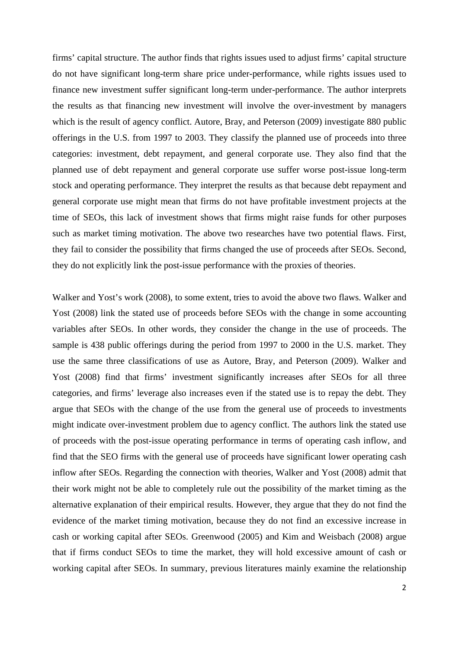firms' capital structure. The author finds that rights issues used to adjust firms' capital structure do not have significant long-term share price under-performance, while rights issues used to finance new investment suffer significant long-term under-performance. The author interprets the results as that financing new investment will involve the over-investment by managers which is the result of agency conflict. Autore, Bray, and Peterson (2009) investigate 880 public offerings in the U.S. from 1997 to 2003. They classify the planned use of proceeds into three categories: investment, debt repayment, and general corporate use. They also find that the planned use of debt repayment and general corporate use suffer worse post-issue long-term stock and operating performance. They interpret the results as that because debt repayment and general corporate use might mean that firms do not have profitable investment projects at the time of SEOs, this lack of investment shows that firms might raise funds for other purposes such as market timing motivation. The above two researches have two potential flaws. First, they fail to consider the possibility that firms changed the use of proceeds after SEOs. Second, they do not explicitly link the post-issue performance with the proxies of theories.

Walker and Yost's work (2008), to some extent, tries to avoid the above two flaws. Walker and Yost (2008) link the stated use of proceeds before SEOs with the change in some accounting variables after SEOs. In other words, they consider the change in the use of proceeds. The sample is 438 public offerings during the period from 1997 to 2000 in the U.S. market. They use the same three classifications of use as Autore, Bray, and Peterson (2009). Walker and Yost (2008) find that firms' investment significantly increases after SEOs for all three categories, and firms' leverage also increases even if the stated use is to repay the debt. They argue that SEOs with the change of the use from the general use of proceeds to investments might indicate over-investment problem due to agency conflict. The authors link the stated use of proceeds with the post-issue operating performance in terms of operating cash inflow, and find that the SEO firms with the general use of proceeds have significant lower operating cash inflow after SEOs. Regarding the connection with theories, Walker and Yost (2008) admit that their work might not be able to completely rule out the possibility of the market timing as the alternative explanation of their empirical results. However, they argue that they do not find the evidence of the market timing motivation, because they do not find an excessive increase in cash or working capital after SEOs. Greenwood (2005) and Kim and Weisbach (2008) argue that if firms conduct SEOs to time the market, they will hold excessive amount of cash or working capital after SEOs. In summary, previous literatures mainly examine the relationship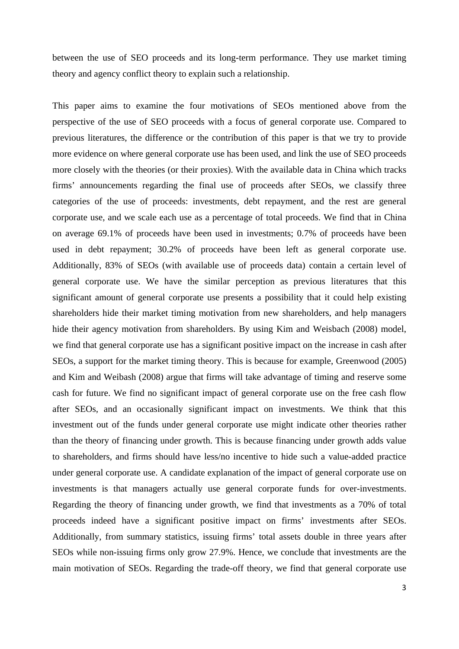between the use of SEO proceeds and its long-term performance. They use market timing theory and agency conflict theory to explain such a relationship.

This paper aims to examine the four motivations of SEOs mentioned above from the perspective of the use of SEO proceeds with a focus of general corporate use. Compared to previous literatures, the difference or the contribution of this paper is that we try to provide more evidence on where general corporate use has been used, and link the use of SEO proceeds more closely with the theories (or their proxies). With the available data in China which tracks firms' announcements regarding the final use of proceeds after SEOs, we classify three categories of the use of proceeds: investments, debt repayment, and the rest are general corporate use, and we scale each use as a percentage of total proceeds. We find that in China on average 69.1% of proceeds have been used in investments; 0.7% of proceeds have been used in debt repayment; 30.2% of proceeds have been left as general corporate use. Additionally, 83% of SEOs (with available use of proceeds data) contain a certain level of general corporate use. We have the similar perception as previous literatures that this significant amount of general corporate use presents a possibility that it could help existing shareholders hide their market timing motivation from new shareholders, and help managers hide their agency motivation from shareholders. By using Kim and Weisbach (2008) model, we find that general corporate use has a significant positive impact on the increase in cash after SEOs, a support for the market timing theory. This is because for example, Greenwood (2005) and Kim and Weibash (2008) argue that firms will take advantage of timing and reserve some cash for future. We find no significant impact of general corporate use on the free cash flow after SEOs, and an occasionally significant impact on investments. We think that this investment out of the funds under general corporate use might indicate other theories rather than the theory of financing under growth. This is because financing under growth adds value to shareholders, and firms should have less/no incentive to hide such a value-added practice under general corporate use. A candidate explanation of the impact of general corporate use on investments is that managers actually use general corporate funds for over-investments. Regarding the theory of financing under growth, we find that investments as a 70% of total proceeds indeed have a significant positive impact on firms' investments after SEOs. Additionally, from summary statistics, issuing firms' total assets double in three years after SEOs while non-issuing firms only grow 27.9%. Hence, we conclude that investments are the main motivation of SEOs. Regarding the trade-off theory, we find that general corporate use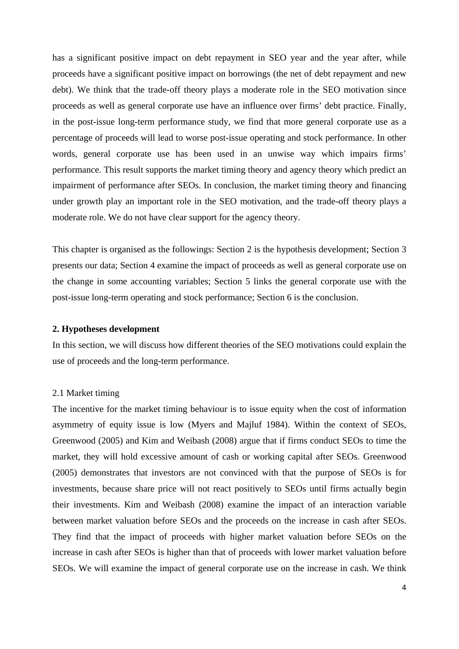has a significant positive impact on debt repayment in SEO year and the year after, while proceeds have a significant positive impact on borrowings (the net of debt repayment and new debt). We think that the trade-off theory plays a moderate role in the SEO motivation since proceeds as well as general corporate use have an influence over firms' debt practice. Finally, in the post-issue long-term performance study, we find that more general corporate use as a percentage of proceeds will lead to worse post-issue operating and stock performance. In other words, general corporate use has been used in an unwise way which impairs firms' performance. This result supports the market timing theory and agency theory which predict an impairment of performance after SEOs. In conclusion, the market timing theory and financing under growth play an important role in the SEO motivation, and the trade-off theory plays a moderate role. We do not have clear support for the agency theory.

This chapter is organised as the followings: Section 2 is the hypothesis development; Section 3 presents our data; Section 4 examine the impact of proceeds as well as general corporate use on the change in some accounting variables; Section 5 links the general corporate use with the post-issue long-term operating and stock performance; Section 6 is the conclusion.

#### **2. Hypotheses development**

In this section, we will discuss how different theories of the SEO motivations could explain the use of proceeds and the long-term performance.

#### 2.1 Market timing

The incentive for the market timing behaviour is to issue equity when the cost of information asymmetry of equity issue is low (Myers and Majluf 1984). Within the context of SEOs, Greenwood (2005) and Kim and Weibash (2008) argue that if firms conduct SEOs to time the market, they will hold excessive amount of cash or working capital after SEOs. Greenwood (2005) demonstrates that investors are not convinced with that the purpose of SEOs is for investments, because share price will not react positively to SEOs until firms actually begin their investments. Kim and Weibash (2008) examine the impact of an interaction variable between market valuation before SEOs and the proceeds on the increase in cash after SEOs. They find that the impact of proceeds with higher market valuation before SEOs on the increase in cash after SEOs is higher than that of proceeds with lower market valuation before SEOs. We will examine the impact of general corporate use on the increase in cash. We think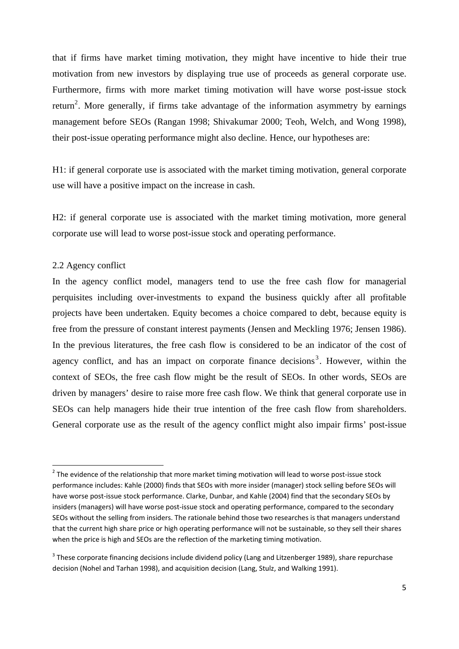that if firms have market timing motivation, they might have incentive to hide their true motivation from new investors by displaying true use of proceeds as general corporate use. Furthermore, firms with more market timing motivation will have worse post-issue stock return<sup>2</sup>. More generally, if firms take advantage of the information asymmetry by earnings management before SEOs (Rangan 1998; Shivakumar 2000; Teoh, Welch, and Wong 1998), their post-issue operating performance might also decline. Hence, our hypotheses are:

H1: if general corporate use is associated with the market timing motivation, general corporate use will have a positive impact on the increase in cash.

H2: if general corporate use is associated with the market timing motivation, more general corporate use will lead to worse post-issue stock and operating performance.

#### 2.2 Agency conflict

In the agency conflict model, managers tend to use the free cash flow for managerial perquisites including over-investments to expand the business quickly after all profitable projects have been undertaken. Equity becomes a choice compared to debt, because equity is free from the pressure of constant interest payments (Jensen and Meckling 1976; Jensen 1986). In the previous literatures, the free cash flow is considered to be an indicator of the cost of agency conflict, and has an impact on corporate finance decisions<sup>3</sup>. However, within the context of SEOs, the free cash flow might be the result of SEOs. In other words, SEOs are driven by managers' desire to raise more free cash flow. We think that general corporate use in SEOs can help managers hide their true intention of the free cash flow from shareholders. General corporate use as the result of the agency conflict might also impair firms' post-issue

 $2$  The evidence of the relationship that more market timing motivation will lead to worse post-issue stock performance includes: Kahle (2000) finds that SEOs with more insider (manager) stock selling before SEOs will have worse post‐issue stock performance. Clarke, Dunbar, and Kahle (2004) find that the secondary SEOs by insiders (managers) will have worse post-issue stock and operating performance, compared to the secondary SEOs without the selling from insiders. The rationale behind those two researches is that managers understand that the current high share price or high operating performance will not be sustainable, so they sell their shares when the price is high and SEOs are the reflection of the marketing timing motivation.

<sup>&</sup>lt;sup>3</sup> These corporate financing decisions include dividend policy (Lang and Litzenberger 1989), share repurchase decision (Nohel and Tarhan 1998), and acquisition decision (Lang, Stulz, and Walking 1991).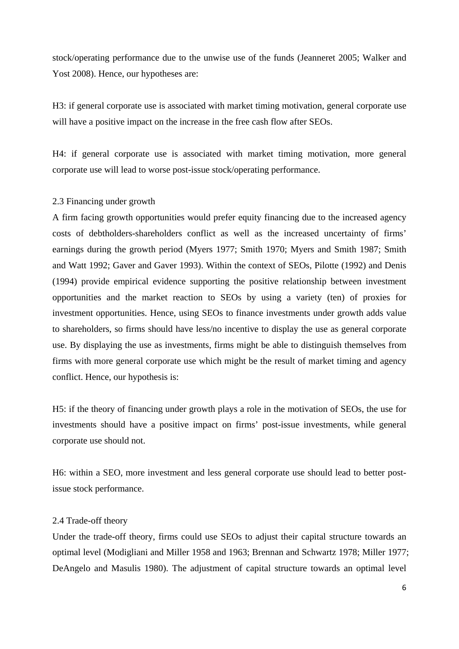stock/operating performance due to the unwise use of the funds (Jeanneret 2005; Walker and Yost 2008). Hence, our hypotheses are:

H3: if general corporate use is associated with market timing motivation, general corporate use will have a positive impact on the increase in the free cash flow after SEOs.

H4: if general corporate use is associated with market timing motivation, more general corporate use will lead to worse post-issue stock/operating performance.

#### 2.3 Financing under growth

A firm facing growth opportunities would prefer equity financing due to the increased agency costs of debtholders-shareholders conflict as well as the increased uncertainty of firms' earnings during the growth period (Myers 1977; Smith 1970; Myers and Smith 1987; Smith and Watt 1992; Gaver and Gaver 1993). Within the context of SEOs, Pilotte (1992) and Denis (1994) provide empirical evidence supporting the positive relationship between investment opportunities and the market reaction to SEOs by using a variety (ten) of proxies for investment opportunities. Hence, using SEOs to finance investments under growth adds value to shareholders, so firms should have less/no incentive to display the use as general corporate use. By displaying the use as investments, firms might be able to distinguish themselves from firms with more general corporate use which might be the result of market timing and agency conflict. Hence, our hypothesis is:

H5: if the theory of financing under growth plays a role in the motivation of SEOs, the use for investments should have a positive impact on firms' post-issue investments, while general corporate use should not.

H6: within a SEO, more investment and less general corporate use should lead to better postissue stock performance.

#### 2.4 Trade-off theory

Under the trade-off theory, firms could use SEOs to adjust their capital structure towards an optimal level (Modigliani and Miller 1958 and 1963; Brennan and Schwartz 1978; Miller 1977; DeAngelo and Masulis 1980). The adjustment of capital structure towards an optimal level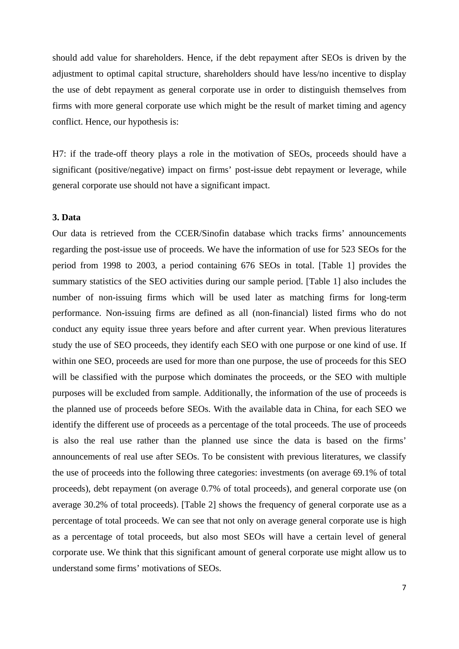should add value for shareholders. Hence, if the debt repayment after SEOs is driven by the adjustment to optimal capital structure, shareholders should have less/no incentive to display the use of debt repayment as general corporate use in order to distinguish themselves from firms with more general corporate use which might be the result of market timing and agency conflict. Hence, our hypothesis is:

H7: if the trade-off theory plays a role in the motivation of SEOs, proceeds should have a significant (positive/negative) impact on firms' post-issue debt repayment or leverage, while general corporate use should not have a significant impact.

## **3. Data**

Our data is retrieved from the CCER/Sinofin database which tracks firms' announcements regarding the post-issue use of proceeds. We have the information of use for 523 SEOs for the period from 1998 to 2003, a period containing 676 SEOs in total. [Table 1] provides the summary statistics of the SEO activities during our sample period. [Table 1] also includes the number of non-issuing firms which will be used later as matching firms for long-term performance. Non-issuing firms are defined as all (non-financial) listed firms who do not conduct any equity issue three years before and after current year. When previous literatures study the use of SEO proceeds, they identify each SEO with one purpose or one kind of use. If within one SEO, proceeds are used for more than one purpose, the use of proceeds for this SEO will be classified with the purpose which dominates the proceeds, or the SEO with multiple purposes will be excluded from sample. Additionally, the information of the use of proceeds is the planned use of proceeds before SEOs. With the available data in China, for each SEO we identify the different use of proceeds as a percentage of the total proceeds. The use of proceeds is also the real use rather than the planned use since the data is based on the firms' announcements of real use after SEOs. To be consistent with previous literatures, we classify the use of proceeds into the following three categories: investments (on average 69.1% of total proceeds), debt repayment (on average 0.7% of total proceeds), and general corporate use (on average 30.2% of total proceeds). [Table 2] shows the frequency of general corporate use as a percentage of total proceeds. We can see that not only on average general corporate use is high as a percentage of total proceeds, but also most SEOs will have a certain level of general corporate use. We think that this significant amount of general corporate use might allow us to understand some firms' motivations of SEOs.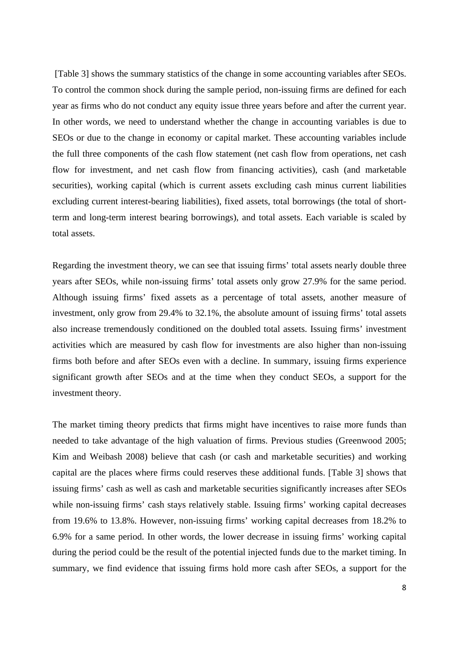[Table 3] shows the summary statistics of the change in some accounting variables after SEOs. To control the common shock during the sample period, non-issuing firms are defined for each year as firms who do not conduct any equity issue three years before and after the current year. In other words, we need to understand whether the change in accounting variables is due to SEOs or due to the change in economy or capital market. These accounting variables include the full three components of the cash flow statement (net cash flow from operations, net cash flow for investment, and net cash flow from financing activities), cash (and marketable securities), working capital (which is current assets excluding cash minus current liabilities excluding current interest-bearing liabilities), fixed assets, total borrowings (the total of shortterm and long-term interest bearing borrowings), and total assets. Each variable is scaled by total assets.

Regarding the investment theory, we can see that issuing firms' total assets nearly double three years after SEOs, while non-issuing firms' total assets only grow 27.9% for the same period. Although issuing firms' fixed assets as a percentage of total assets, another measure of investment, only grow from 29.4% to 32.1%, the absolute amount of issuing firms' total assets also increase tremendously conditioned on the doubled total assets. Issuing firms' investment activities which are measured by cash flow for investments are also higher than non-issuing firms both before and after SEOs even with a decline. In summary, issuing firms experience significant growth after SEOs and at the time when they conduct SEOs, a support for the investment theory.

The market timing theory predicts that firms might have incentives to raise more funds than needed to take advantage of the high valuation of firms. Previous studies (Greenwood 2005; Kim and Weibash 2008) believe that cash (or cash and marketable securities) and working capital are the places where firms could reserves these additional funds. [Table 3] shows that issuing firms' cash as well as cash and marketable securities significantly increases after SEOs while non-issuing firms' cash stays relatively stable. Issuing firms' working capital decreases from 19.6% to 13.8%. However, non-issuing firms' working capital decreases from 18.2% to 6.9% for a same period. In other words, the lower decrease in issuing firms' working capital during the period could be the result of the potential injected funds due to the market timing. In summary, we find evidence that issuing firms hold more cash after SEOs, a support for the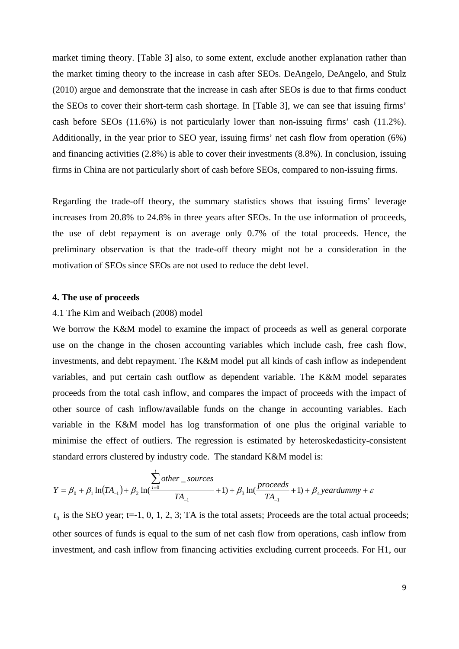market timing theory. [Table 3] also, to some extent, exclude another explanation rather than the market timing theory to the increase in cash after SEOs. DeAngelo, DeAngelo, and Stulz (2010) argue and demonstrate that the increase in cash after SEOs is due to that firms conduct the SEOs to cover their short-term cash shortage. In [Table 3], we can see that issuing firms' cash before SEOs (11.6%) is not particularly lower than non-issuing firms' cash (11.2%). Additionally, in the year prior to SEO year, issuing firms' net cash flow from operation (6%) and financing activities (2.8%) is able to cover their investments (8.8%). In conclusion, issuing firms in China are not particularly short of cash before SEOs, compared to non-issuing firms.

Regarding the trade-off theory, the summary statistics shows that issuing firms' leverage increases from 20.8% to 24.8% in three years after SEOs. In the use information of proceeds, the use of debt repayment is on average only 0.7% of the total proceeds. Hence, the preliminary observation is that the trade-off theory might not be a consideration in the motivation of SEOs since SEOs are not used to reduce the debt level.

#### **4. The use of proceeds**

#### 4.1 The Kim and Weibach (2008) model

We borrow the K&M model to examine the impact of proceeds as well as general corporate use on the change in the chosen accounting variables which include cash, free cash flow, investments, and debt repayment. The K&M model put all kinds of cash inflow as independent variables, and put certain cash outflow as dependent variable. The K&M model separates proceeds from the total cash inflow, and compares the impact of proceeds with the impact of other source of cash inflow/available funds on the change in accounting variables. Each variable in the K&M model has log transformation of one plus the original variable to minimise the effect of outliers. The regression is estimated by heteroskedasticity-consistent standard errors clustered by industry code. The standard K&M model is:

$$
Y = \beta_0 + \beta_1 \ln(TA_{-1}) + \beta_2 \ln(\frac{t}{t} = 0 \text{ where } t = 1) + \beta_3 \ln(\frac{processed}{TA_{-1}} + 1) + \beta_4 \text{ and } \beta_5 \ln(\frac{1}{TA_{-1}} + 1) + \beta_5 \ln(\frac{1}{TA_{-1}} + 1) + \beta_6 \text{ and } \beta_7 \ln(\frac{1}{TA_{-1}} + 1) + \beta_7 \ln(\frac{1}{TA_{-1}} + 1) + \beta_8 \ln(\frac{1}{TA_{-1}} + 1) + \beta_9 \ln(\frac{1}{TA_{-1}} + 1) + \beta_9 \ln(\frac{1}{TA_{-1}} + 1) + \beta_9 \ln(\frac{1}{TA_{-1}} + 1) + \beta_9 \ln(\frac{1}{TA_{-1}} + 1) + \beta_9 \ln(\frac{1}{TA_{-1}} + 1) + \beta_9 \ln(\frac{1}{TA_{-1}} + 1) + \beta_9 \ln(\frac{1}{TA_{-1}} + 1) + \beta_9 \ln(\frac{1}{TA_{-1}} + 1) + \beta_9 \ln(\frac{1}{TA_{-1}} + 1) + \beta_9 \ln(\frac{1}{TA_{-1}} + 1) + \beta_9 \ln(\frac{1}{TA_{-1}} + 1) + \beta_9 \ln(\frac{1}{TA_{-1}} + 1) + \beta_9 \ln(\frac{1}{TA_{-1}} + 1) + \beta_9 \ln(\frac{1}{TA_{-1}} + 1) + \beta_9 \ln(\frac{1}{TA_{-1}} + 1) + \beta_9 \ln(\frac{1}{TA_{-1}} + 1) + \beta_9 \ln(\frac{1}{TA_{-1}} + 1) + \beta_9 \ln(\frac{1}{TA_{-1}} + 1) + \beta_9 \ln(\frac{1}{TA_{-1}} + 1) + \beta_9 \ln(\frac{1}{TA_{-1}} + 1) + \beta_9 \ln(\frac{1}{TA_{-1}} + 1) + \beta_9 \ln(\frac{1}{TA_{-1}} + 1) + \beta_9 \ln(\frac{1}{TA_{-1}} + 1) + \beta_9 \ln(\frac{1}{TA_{-1}} + 1) + \beta_9 \ln(\frac{1}{TA_{-1}} + 1) + \beta_9 \ln(\frac{1}{TA_{-1}} + 1) + \beta_9 \ln(\frac{1}{TA_{-1}} + 1) + \
$$

 $t_0$  is the SEO year; t=-1, 0, 1, 2, 3; TA is the total assets; Proceeds are the total actual proceeds; other sources of funds is equal to the sum of net cash flow from operations, cash inflow from investment, and cash inflow from financing activities excluding current proceeds. For H1, our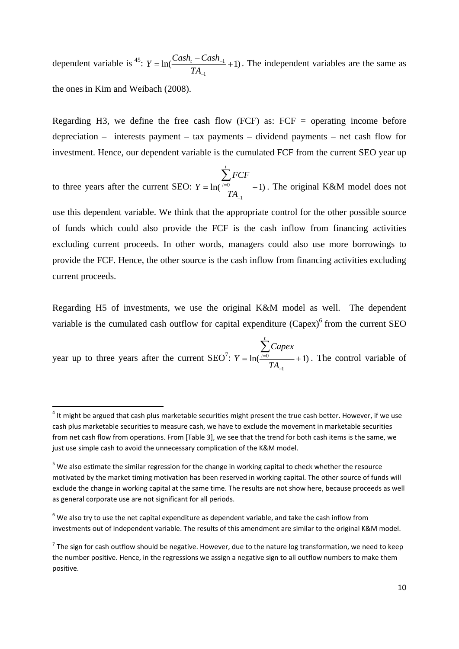dependent variable is <sup>45</sup>:  $Y = ln(\frac{Cas_{1} - Cas_{1}}{T} + 1)$ 1  $= \ln \left( \frac{Cash_{t} - Cash_{-1}}{1} + \right)$  $\overline{a}$  $\overline{a}$ *TA*  $Y = \ln(\frac{Cash_t - Cash_{-1}}{T} + 1)$ . The independent variables are the same as the ones in Kim and Weibach (2008).

Regarding H3, we define the free cash flow  $(FCF)$  as:  $FCF =$  operating income before depreciation – interests payment – tax payments – dividend payments – net cash flow for investment. Hence, our dependent variable is the cumulated FCF from the current SEO year up

to three years after the current SEO:  $Y = \ln(\frac{i=0}{T} + 1)$ 1  $= \ln(\frac{i=0}{i} +$  $\overline{a}$  $\sum_{i=0}$ *TA FCF Y t*  $\frac{i=0}{i}$  +1). The original K&M model does not

use this dependent variable. We think that the appropriate control for the other possible source of funds which could also provide the FCF is the cash inflow from financing activities excluding current proceeds. In other words, managers could also use more borrowings to provide the FCF. Hence, the other source is the cash inflow from financing activities excluding current proceeds.

Regarding H5 of investments, we use the original K&M model as well. The dependent variable is the cumulated cash outflow for capital expenditure  $(Capex)^6$  from the current SEO

year up to three years after the current SEO<sup>7</sup>:  $Y = ln(\frac{100}{n} + 1)$ 1  $= \ln(\frac{i=0}{i} +$  $\overline{a}$  $\sum_{i=0}$ *TA Capex Y t*  $\frac{i=0}{i}$  +1). The control variable of

 $4$  It might be argued that cash plus marketable securities might present the true cash better. However, if we use cash plus marketable securities to measure cash, we have to exclude the movement in marketable securities from net cash flow from operations. From [Table 3], we see that the trend for both cash items is the same, we just use simple cash to avoid the unnecessary complication of the K&M model.

<sup>&</sup>lt;sup>5</sup> We also estimate the similar regression for the change in working capital to check whether the resource motivated by the market timing motivation has been reserved in working capital. The other source of funds will exclude the change in working capital at the same time. The results are not show here, because proceeds as well as general corporate use are not significant for all periods.

 $6$  We also try to use the net capital expenditure as dependent variable, and take the cash inflow from investments out of independent variable. The results of this amendment are similar to the original K&M model.

 $7$  The sign for cash outflow should be negative. However, due to the nature log transformation, we need to keep the number positive. Hence, in the regressions we assign a negative sign to all outflow numbers to make them positive.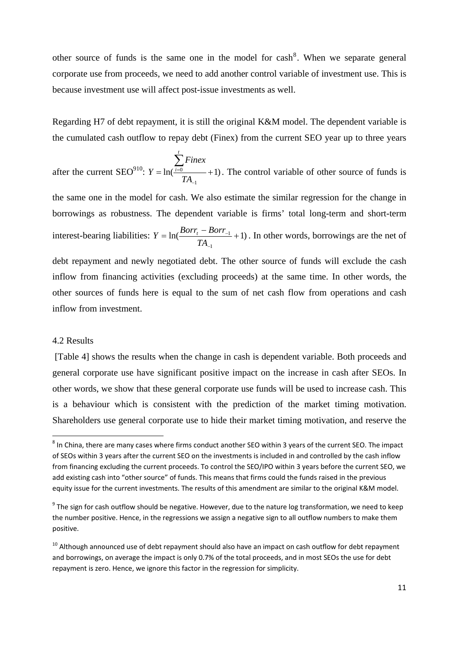other source of funds is the same one in the model for  $\cosh^8$ . When we separate general corporate use from proceeds, we need to add another control variable of investment use. This is because investment use will affect post-issue investments as well.

Regarding H7 of debt repayment, it is still the original K&M model. The dependent variable is the cumulated cash outflow to repay debt (Finex) from the current SEO year up to three years

after the current SEO<sup>910</sup>:  $Y = ln(\frac{10}{10} + 1)$ 1  $= \ln(\frac{i=0}{i} +$  $\overline{a}$  $\sum_{i=0}$ *TA Finex Y t*  $\frac{i=0}{i}$  +1). The control variable of other source of funds is

the same one in the model for cash. We also estimate the similar regression for the change in borrowings as robustness. The dependent variable is firms' total long-term and short-term interest-bearing liabilities:  $Y = ln(\frac{B_{OII_{t}} - B_{OII_{-1}}}{T} + 1)$ 1  $=\ln\left(\frac{Borr_t - Borr_{-1}}{n}\right) +$  $\overline{a}$  $\overline{a}$ *TA*  $Y = \ln(\frac{Borr_t - Borr_{-1}}{R} + 1)$ . In other words, borrowings are the net of

debt repayment and newly negotiated debt. The other source of funds will exclude the cash inflow from financing activities (excluding proceeds) at the same time. In other words, the other sources of funds here is equal to the sum of net cash flow from operations and cash inflow from investment.

#### 4.2 Results

 [Table 4] shows the results when the change in cash is dependent variable. Both proceeds and general corporate use have significant positive impact on the increase in cash after SEOs. In other words, we show that these general corporate use funds will be used to increase cash. This is a behaviour which is consistent with the prediction of the market timing motivation. Shareholders use general corporate use to hide their market timing motivation, and reserve the

<sup>&</sup>lt;sup>8</sup> In China, there are many cases where firms conduct another SEO within 3 years of the current SEO. The impact of SEOs within 3 years after the current SEO on the investments is included in and controlled by the cash inflow from financing excluding the current proceeds. To control the SEO/IPO within 3 years before the current SEO, we add existing cash into "other source" of funds. This means that firms could the funds raised in the previous equity issue for the current investments. The results of this amendment are similar to the original K&M model.

 $9$  The sign for cash outflow should be negative. However, due to the nature log transformation, we need to keep the number positive. Hence, in the regressions we assign a negative sign to all outflow numbers to make them positive.

<sup>&</sup>lt;sup>10</sup> Although announced use of debt repayment should also have an impact on cash outflow for debt repayment and borrowings, on average the impact is only 0.7% of the total proceeds, and in most SEOs the use for debt repayment is zero. Hence, we ignore this factor in the regression for simplicity.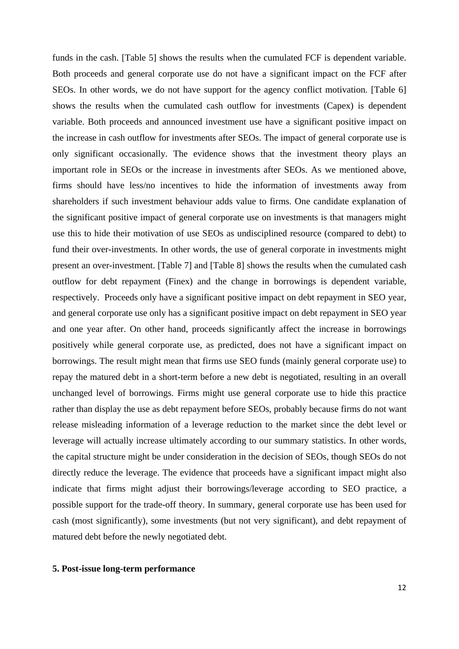funds in the cash. [Table 5] shows the results when the cumulated FCF is dependent variable. Both proceeds and general corporate use do not have a significant impact on the FCF after SEOs. In other words, we do not have support for the agency conflict motivation. [Table 6] shows the results when the cumulated cash outflow for investments (Capex) is dependent variable. Both proceeds and announced investment use have a significant positive impact on the increase in cash outflow for investments after SEOs. The impact of general corporate use is only significant occasionally. The evidence shows that the investment theory plays an important role in SEOs or the increase in investments after SEOs. As we mentioned above, firms should have less/no incentives to hide the information of investments away from shareholders if such investment behaviour adds value to firms. One candidate explanation of the significant positive impact of general corporate use on investments is that managers might use this to hide their motivation of use SEOs as undisciplined resource (compared to debt) to fund their over-investments. In other words, the use of general corporate in investments might present an over-investment. [Table 7] and [Table 8] shows the results when the cumulated cash outflow for debt repayment (Finex) and the change in borrowings is dependent variable, respectively. Proceeds only have a significant positive impact on debt repayment in SEO year, and general corporate use only has a significant positive impact on debt repayment in SEO year and one year after. On other hand, proceeds significantly affect the increase in borrowings positively while general corporate use, as predicted, does not have a significant impact on borrowings. The result might mean that firms use SEO funds (mainly general corporate use) to repay the matured debt in a short-term before a new debt is negotiated, resulting in an overall unchanged level of borrowings. Firms might use general corporate use to hide this practice rather than display the use as debt repayment before SEOs, probably because firms do not want release misleading information of a leverage reduction to the market since the debt level or leverage will actually increase ultimately according to our summary statistics. In other words, the capital structure might be under consideration in the decision of SEOs, though SEOs do not directly reduce the leverage. The evidence that proceeds have a significant impact might also indicate that firms might adjust their borrowings/leverage according to SEO practice, a possible support for the trade-off theory. In summary, general corporate use has been used for cash (most significantly), some investments (but not very significant), and debt repayment of matured debt before the newly negotiated debt.

## **5. Post-issue long-term performance**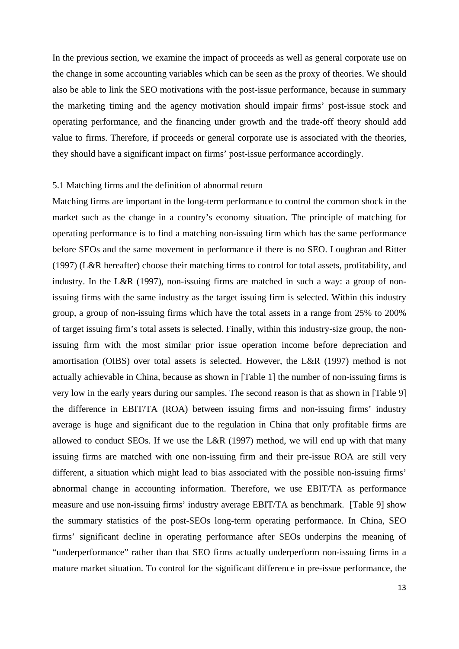In the previous section, we examine the impact of proceeds as well as general corporate use on the change in some accounting variables which can be seen as the proxy of theories. We should also be able to link the SEO motivations with the post-issue performance, because in summary the marketing timing and the agency motivation should impair firms' post-issue stock and operating performance, and the financing under growth and the trade-off theory should add value to firms. Therefore, if proceeds or general corporate use is associated with the theories, they should have a significant impact on firms' post-issue performance accordingly.

#### 5.1 Matching firms and the definition of abnormal return

Matching firms are important in the long-term performance to control the common shock in the market such as the change in a country's economy situation. The principle of matching for operating performance is to find a matching non-issuing firm which has the same performance before SEOs and the same movement in performance if there is no SEO. Loughran and Ritter (1997) (L&R hereafter) choose their matching firms to control for total assets, profitability, and industry. In the L&R (1997), non-issuing firms are matched in such a way: a group of nonissuing firms with the same industry as the target issuing firm is selected. Within this industry group, a group of non-issuing firms which have the total assets in a range from 25% to 200% of target issuing firm's total assets is selected. Finally, within this industry-size group, the nonissuing firm with the most similar prior issue operation income before depreciation and amortisation (OIBS) over total assets is selected. However, the L&R (1997) method is not actually achievable in China, because as shown in [Table 1] the number of non-issuing firms is very low in the early years during our samples. The second reason is that as shown in [Table 9] the difference in EBIT/TA (ROA) between issuing firms and non-issuing firms' industry average is huge and significant due to the regulation in China that only profitable firms are allowed to conduct SEOs. If we use the L&R (1997) method, we will end up with that many issuing firms are matched with one non-issuing firm and their pre-issue ROA are still very different, a situation which might lead to bias associated with the possible non-issuing firms' abnormal change in accounting information. Therefore, we use EBIT/TA as performance measure and use non-issuing firms' industry average EBIT/TA as benchmark. [Table 9] show the summary statistics of the post-SEOs long-term operating performance. In China, SEO firms' significant decline in operating performance after SEOs underpins the meaning of "underperformance" rather than that SEO firms actually underperform non-issuing firms in a mature market situation. To control for the significant difference in pre-issue performance, the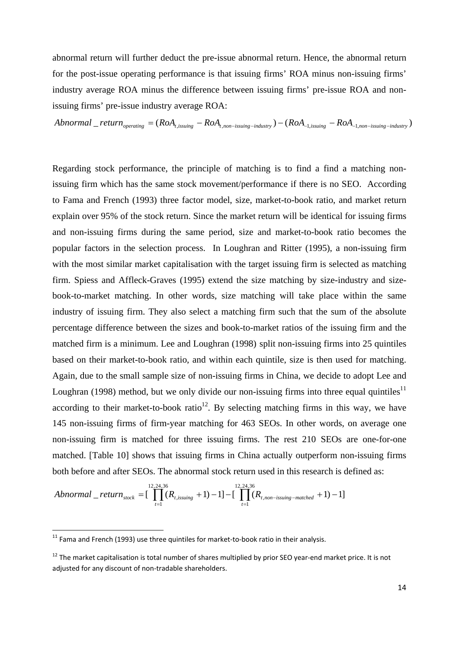abnormal return will further deduct the pre-issue abnormal return. Hence, the abnormal return for the post-issue operating performance is that issuing firms' ROA minus non-issuing firms' industry average ROA minus the difference between issuing firms' pre-issue ROA and nonissuing firms' pre-issue industry average ROA:

$$
Abnormal\_return_{operating} = (RoA_{t, issuing} - RoA_{t,non-issuing-industry}) - (RoA_{1,issuing} - RoA_{1,non-issuing-industry})
$$

Regarding stock performance, the principle of matching is to find a find a matching nonissuing firm which has the same stock movement/performance if there is no SEO. According to Fama and French (1993) three factor model, size, market-to-book ratio, and market return explain over 95% of the stock return. Since the market return will be identical for issuing firms and non-issuing firms during the same period, size and market-to-book ratio becomes the popular factors in the selection process. In Loughran and Ritter (1995), a non-issuing firm with the most similar market capitalisation with the target issuing firm is selected as matching firm. Spiess and Affleck-Graves (1995) extend the size matching by size-industry and sizebook-to-market matching. In other words, size matching will take place within the same industry of issuing firm. They also select a matching firm such that the sum of the absolute percentage difference between the sizes and book-to-market ratios of the issuing firm and the matched firm is a minimum. Lee and Loughran (1998) split non-issuing firms into 25 quintiles based on their market-to-book ratio, and within each quintile, size is then used for matching. Again, due to the small sample size of non-issuing firms in China, we decide to adopt Lee and Loughran (1998) method, but we only divide our non-issuing firms into three equal quintiles<sup>11</sup> according to their market-to-book ratio<sup>12</sup>. By selecting matching firms in this way, we have 145 non-issuing firms of firm-year matching for 463 SEOs. In other words, on average one non-issuing firm is matched for three issuing firms. The rest 210 SEOs are one-for-one matched. [Table 10] shows that issuing firms in China actually outperform non-issuing firms both before and after SEOs. The abnormal stock return used in this research is defined as:

$$
Abnormal\_return_{stock} = [\prod_{t=1}^{12,24,36} (R_{t,issuing} + 1) - 1] - [\prod_{t=1}^{12,24,36} (R_{t,non-issum-matched} + 1) - 1]
$$

 $11$  Fama and French (1993) use three quintiles for market-to-book ratio in their analysis.

 $12$  The market capitalisation is total number of shares multiplied by prior SEO year-end market price. It is not adjusted for any discount of non-tradable shareholders.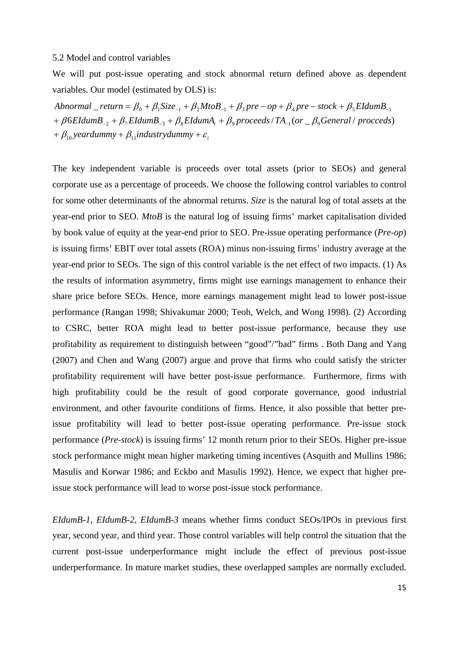#### 5.2 Model and control variables

We will put post-issue operating and stock abnormal return defined above as dependent variables. Our model (estimated by OLS) is:

 $+ \beta_{10}$  yeardummy  $+ \beta_{11}$ industrydummy  $+ \varepsilon_{i}$ +  $\beta$ 6EIdumB<sub>-2</sub> +  $\beta$ <sub>7</sub>EIdumB<sub>-3</sub> +  $\beta$ <sub>8</sub>EIdumA<sub>t</sub> +  $\beta$ <sub>9</sub> proceeds/TA<sub>-1</sub>(or \_  $\beta$ <sub>9</sub>General/ procceds)  $Abnormal$   $=$   $return = \beta_0 + \beta_1 Size_{-1} + \beta_2 MtoB_{-1} + \beta_3 pre - op + \beta_4 pre - stock + \beta_5 EIdumB_{-1}$ 

The key independent variable is proceeds over total assets (prior to SEOs) and general corporate use as a percentage of proceeds. We choose the following control variables to control for some other determinants of the abnormal returns. *Size* is the natural log of total assets at the year-end prior to SEO. *MtoB* is the natural log of issuing firms' market capitalisation divided by book value of equity at the year-end prior to SEO. Pre-issue operating performance (*Pre-op*) is issuing firms' EBIT over total assets (ROA) minus non-issuing firms' industry average at the year-end prior to SEOs. The sign of this control variable is the net effect of two impacts. (1) As the results of information asymmetry, firms might use earnings management to enhance their share price before SEOs. Hence, more earnings management might lead to lower post-issue performance (Rangan 1998; Shivakumar 2000; Teoh, Welch, and Wong 1998). (2) According to CSRC, better ROA might lead to better post-issue performance, because they use profitability as requirement to distinguish between "good"/"bad" firms . Both Dang and Yang (2007) and Chen and Wang (2007) argue and prove that firms who could satisfy the stricter profitability requirement will have better post-issue performance. Furthermore, firms with high profitability could be the result of good corporate governance, good industrial environment, and other favourite conditions of firms. Hence, it also possible that better preissue profitability will lead to better post-issue operating performance. Pre-issue stock performance (*Pre-stock*) is issuing firms' 12 month return prior to their SEOs. Higher pre-issue stock performance might mean higher marketing timing incentives (Asquith and Mullins 1986; Masulis and Korwar 1986; and Eckbo and Masulis 1992). Hence, we expect that higher preissue stock performance will lead to worse post-issue stock performance.

*EIdumB-1*, *EIdumB-2*, *EIdumB-3* means whether firms conduct SEOs/IPOs in previous first year, second year, and third year. Those control variables will help control the situation that the current post-issue underperformance might include the effect of previous post-issue underperformance. In mature market studies, these overlapped samples are normally excluded.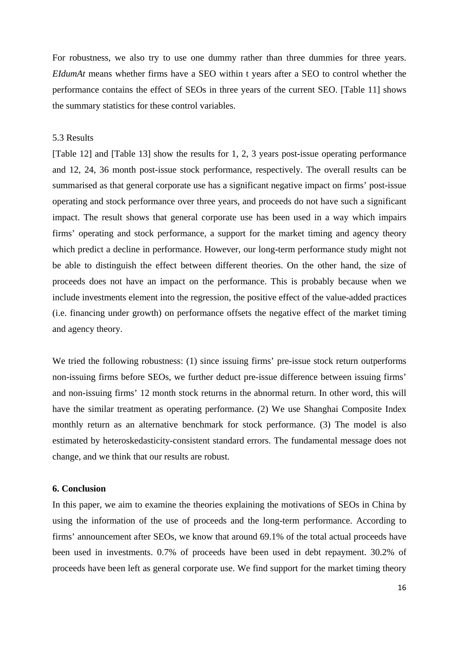For robustness, we also try to use one dummy rather than three dummies for three years. *EIdumAt* means whether firms have a SEO within t years after a SEO to control whether the performance contains the effect of SEOs in three years of the current SEO. [Table 11] shows the summary statistics for these control variables.

#### 5.3 Results

[Table 12] and [Table 13] show the results for 1, 2, 3 years post-issue operating performance and 12, 24, 36 month post-issue stock performance, respectively. The overall results can be summarised as that general corporate use has a significant negative impact on firms' post-issue operating and stock performance over three years, and proceeds do not have such a significant impact. The result shows that general corporate use has been used in a way which impairs firms' operating and stock performance, a support for the market timing and agency theory which predict a decline in performance. However, our long-term performance study might not be able to distinguish the effect between different theories. On the other hand, the size of proceeds does not have an impact on the performance. This is probably because when we include investments element into the regression, the positive effect of the value-added practices (i.e. financing under growth) on performance offsets the negative effect of the market timing and agency theory.

We tried the following robustness: (1) since issuing firms' pre-issue stock return outperforms non-issuing firms before SEOs, we further deduct pre-issue difference between issuing firms' and non-issuing firms' 12 month stock returns in the abnormal return. In other word, this will have the similar treatment as operating performance. (2) We use Shanghai Composite Index monthly return as an alternative benchmark for stock performance. (3) The model is also estimated by heteroskedasticity-consistent standard errors. The fundamental message does not change, and we think that our results are robust.

## **6. Conclusion**

In this paper, we aim to examine the theories explaining the motivations of SEOs in China by using the information of the use of proceeds and the long-term performance. According to firms' announcement after SEOs, we know that around 69.1% of the total actual proceeds have been used in investments. 0.7% of proceeds have been used in debt repayment. 30.2% of proceeds have been left as general corporate use. We find support for the market timing theory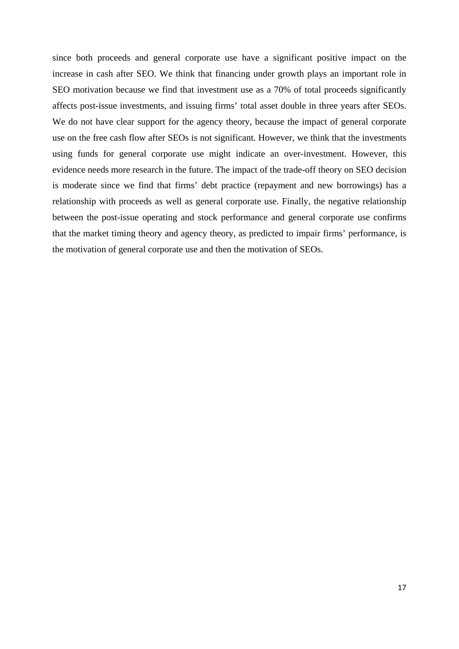since both proceeds and general corporate use have a significant positive impact on the increase in cash after SEO. We think that financing under growth plays an important role in SEO motivation because we find that investment use as a 70% of total proceeds significantly affects post-issue investments, and issuing firms' total asset double in three years after SEOs. We do not have clear support for the agency theory, because the impact of general corporate use on the free cash flow after SEOs is not significant. However, we think that the investments using funds for general corporate use might indicate an over-investment. However, this evidence needs more research in the future. The impact of the trade-off theory on SEO decision is moderate since we find that firms' debt practice (repayment and new borrowings) has a relationship with proceeds as well as general corporate use. Finally, the negative relationship between the post-issue operating and stock performance and general corporate use confirms that the market timing theory and agency theory, as predicted to impair firms' performance, is the motivation of general corporate use and then the motivation of SEOs.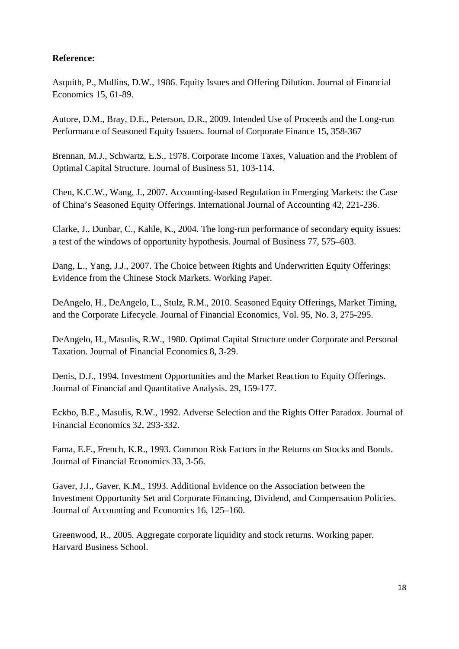# **Reference:**

Asquith, P., Mullins, D.W., 1986. Equity Issues and Offering Dilution. Journal of Financial Economics 15, 61-89.

Autore, D.M., Bray, D.E., Peterson, D.R., 2009. Intended Use of Proceeds and the Long-run Performance of Seasoned Equity Issuers. Journal of Corporate Finance 15, 358-367

Brennan, M.J., Schwartz, E.S., 1978. Corporate Income Taxes, Valuation and the Problem of Optimal Capital Structure. Journal of Business 51, 103-114.

Chen, K.C.W., Wang, J., 2007. Accounting-based Regulation in Emerging Markets: the Case of China's Seasoned Equity Offerings. International Journal of Accounting 42, 221-236.

Clarke, J., Dunbar, C., Kahle, K., 2004. The long-run performance of secondary equity issues: a test of the windows of opportunity hypothesis. Journal of Business 77, 575–603.

Dang, L., Yang, J.J., 2007. The Choice between Rights and Underwritten Equity Offerings: Evidence from the Chinese Stock Markets. Working Paper.

DeAngelo, H., DeAngelo, L., Stulz, R.M., 2010. Seasoned Equity Offerings, Market Timing, and the Corporate Lifecycle. Journal of Financial Economics, Vol. 95, No. 3, 275-295.

DeAngelo, H., Masulis, R.W., 1980. Optimal Capital Structure under Corporate and Personal Taxation. Journal of Financial Economics 8, 3-29.

Denis, D.J., 1994. Investment Opportunities and the Market Reaction to Equity Offerings. Journal of Financial and Quantitative Analysis. 29, 159-177.

Eckbo, B.E., Masulis, R.W., 1992. Adverse Selection and the Rights Offer Paradox. Journal of Financial Economics 32, 293-332.

Fama, E.F., French, K.R., 1993. Common Risk Factors in the Returns on Stocks and Bonds. Journal of Financial Economics 33, 3-56.

Gaver, J.J., Gaver, K.M., 1993. Additional Evidence on the Association between the Investment Opportunity Set and Corporate Financing, Dividend, and Compensation Policies. Journal of Accounting and Economics 16, 125–160.

Greenwood, R., 2005. Aggregate corporate liquidity and stock returns. Working paper. Harvard Business School.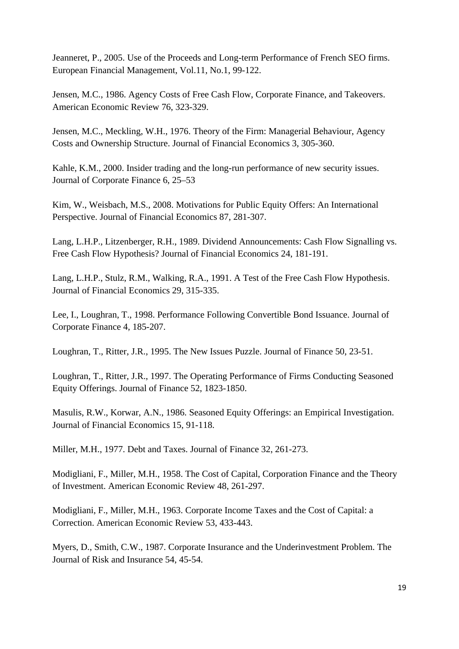Jeanneret, P., 2005. Use of the Proceeds and Long-term Performance of French SEO firms. European Financial Management, Vol.11, No.1, 99-122.

Jensen, M.C., 1986. Agency Costs of Free Cash Flow, Corporate Finance, and Takeovers. American Economic Review 76, 323-329.

Jensen, M.C., Meckling, W.H., 1976. Theory of the Firm: Managerial Behaviour, Agency Costs and Ownership Structure. Journal of Financial Economics 3, 305-360.

Kahle, K.M., 2000. Insider trading and the long-run performance of new security issues. Journal of Corporate Finance 6, 25–53

Kim, W., Weisbach, M.S., 2008. Motivations for Public Equity Offers: An International Perspective. Journal of Financial Economics 87, 281-307.

Lang, L.H.P., Litzenberger, R.H., 1989. Dividend Announcements: Cash Flow Signalling vs. Free Cash Flow Hypothesis? Journal of Financial Economics 24, 181-191.

Lang, L.H.P., Stulz, R.M., Walking, R.A., 1991. A Test of the Free Cash Flow Hypothesis. Journal of Financial Economics 29, 315-335.

Lee, I., Loughran, T., 1998. Performance Following Convertible Bond Issuance. Journal of Corporate Finance 4, 185-207.

Loughran, T., Ritter, J.R., 1995. The New Issues Puzzle. Journal of Finance 50, 23-51.

Loughran, T., Ritter, J.R., 1997. The Operating Performance of Firms Conducting Seasoned Equity Offerings. Journal of Finance 52, 1823-1850.

Masulis, R.W., Korwar, A.N., 1986. Seasoned Equity Offerings: an Empirical Investigation. Journal of Financial Economics 15, 91-118.

Miller, M.H., 1977. Debt and Taxes. Journal of Finance 32, 261-273.

Modigliani, F., Miller, M.H., 1958. The Cost of Capital, Corporation Finance and the Theory of Investment. American Economic Review 48, 261-297.

Modigliani, F., Miller, M.H., 1963. Corporate Income Taxes and the Cost of Capital: a Correction. American Economic Review 53, 433-443.

Myers, D., Smith, C.W., 1987. Corporate Insurance and the Underinvestment Problem. The Journal of Risk and Insurance 54, 45-54.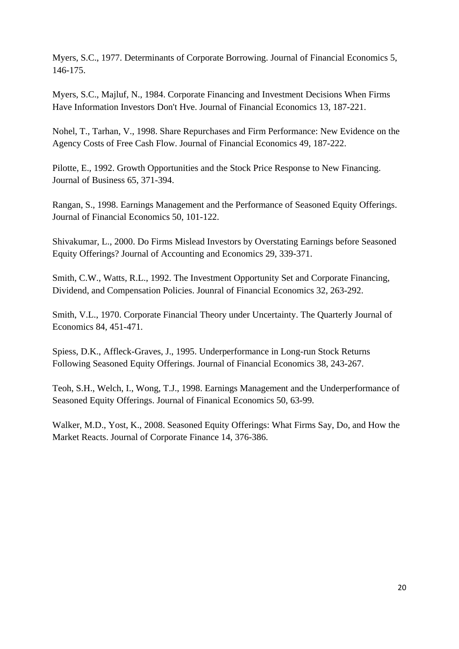Myers, S.C., 1977. Determinants of Corporate Borrowing. Journal of Financial Economics 5, 146-175.

Myers, S.C., Majluf, N., 1984. Corporate Financing and Investment Decisions When Firms Have Information Investors Don't Hve. Journal of Financial Economics 13, 187-221.

Nohel, T., Tarhan, V., 1998. Share Repurchases and Firm Performance: New Evidence on the Agency Costs of Free Cash Flow. Journal of Financial Economics 49, 187-222.

Pilotte, E., 1992. Growth Opportunities and the Stock Price Response to New Financing. Journal of Business 65, 371-394.

Rangan, S., 1998. Earnings Management and the Performance of Seasoned Equity Offerings. Journal of Financial Economics 50, 101-122.

Shivakumar, L., 2000. Do Firms Mislead Investors by Overstating Earnings before Seasoned Equity Offerings? Journal of Accounting and Economics 29, 339-371.

Smith, C.W., Watts, R.L., 1992. The Investment Opportunity Set and Corporate Financing, Dividend, and Compensation Policies. Jounral of Financial Economics 32, 263-292.

Smith, V.L., 1970. Corporate Financial Theory under Uncertainty. The Quarterly Journal of Economics 84, 451-471.

Spiess, D.K., Affleck-Graves, J., 1995. Underperformance in Long-run Stock Returns Following Seasoned Equity Offerings. Journal of Financial Economics 38, 243-267.

Teoh, S.H., Welch, I., Wong, T.J., 1998. Earnings Management and the Underperformance of Seasoned Equity Offerings. Journal of Finanical Economics 50, 63-99.

Walker, M.D., Yost, K., 2008. Seasoned Equity Offerings: What Firms Say, Do, and How the Market Reacts. Journal of Corporate Finance 14, 376-386.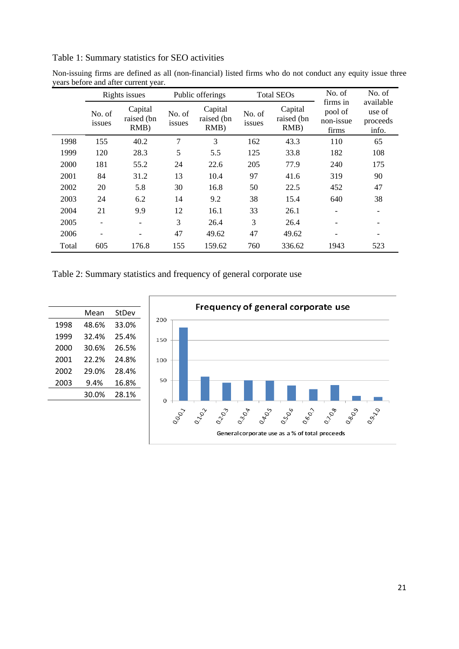Table 1: Summary statistics for SEO activities

|       |                              | Rights issues                    |                  | Public offerings              |                  | <b>Total SEOs</b>                | No. of                                    | No. of                                   |
|-------|------------------------------|----------------------------------|------------------|-------------------------------|------------------|----------------------------------|-------------------------------------------|------------------------------------------|
|       | No. of<br>issues             | Capital<br>raised (bn<br>$RMB$ ) | No. of<br>issues | Capital<br>raised (bn<br>RMB) | No. of<br>issues | Capital<br>raised (bn<br>$RMB$ ) | firms in<br>pool of<br>non-issue<br>firms | available<br>use of<br>proceeds<br>info. |
| 1998  | 155                          | 40.2                             | 7                | 3                             | 162              | 43.3                             | 110                                       | 65                                       |
| 1999  | 120                          | 28.3                             | 5                | 5.5                           | 125              | 33.8                             | 182                                       | 108                                      |
| 2000  | 181                          | 55.2                             | 24               | 22.6                          | 205              | 77.9                             | 240                                       | 175                                      |
| 2001  | 84                           | 31.2                             | 13               | 10.4                          | 97               | 41.6                             | 319                                       | 90                                       |
| 2002  | 20                           | 5.8                              | 30               | 16.8                          | 50               | 22.5                             | 452                                       | 47                                       |
| 2003  | 24                           | 6.2                              | 14               | 9.2                           | 38               | 15.4                             | 640                                       | 38                                       |
| 2004  | 21                           | 9.9                              | 12               | 16.1                          | 33               | 26.1                             |                                           |                                          |
| 2005  | $\overline{\phantom{0}}$     |                                  | 3                | 26.4                          | 3                | 26.4                             |                                           |                                          |
| 2006  | $\qquad \qquad \blacksquare$ | $\overline{a}$                   | 47               | 49.62                         | 47               | 49.62                            | $\overline{\phantom{a}}$                  |                                          |
| Total | 605                          | 176.8                            | 155              | 159.62                        | 760              | 336.62                           | 1943                                      | 523                                      |

Non-issuing firms are defined as all (non-financial) listed firms who do not conduct any equity issue three years before and after current year.

Table 2: Summary statistics and frequency of general corporate use

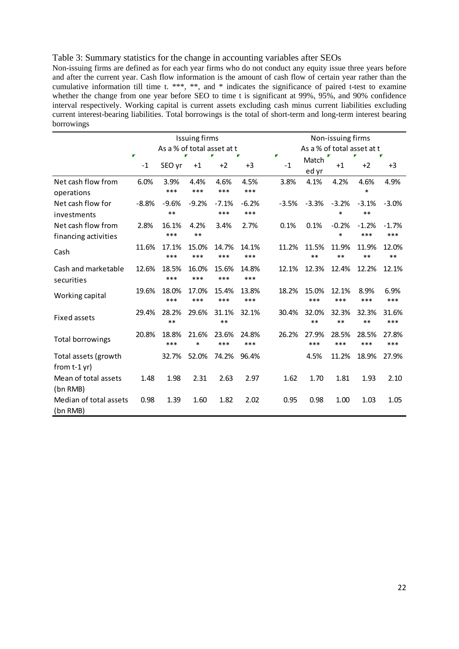## Table 3: Summary statistics for the change in accounting variables after SEOs

Non-issuing firms are defined as for each year firms who do not conduct any equity issue three years before and after the current year. Cash flow information is the amount of cash flow of certain year rather than the cumulative information till time t. \*\*\*, \*\*, and \* indicates the significance of paired t-test to examine whether the change from one year before SEO to time t is significant at 99%, 95%, and 90% confidence interval respectively. Working capital is current assets excluding cash minus current liabilities excluding current interest-bearing liabilities. Total borrowings is the total of short-term and long-term interest bearing borrowings

|                                            |         |                            | <b>Issuing firms</b> |                |                |         | Non-issuing firms          |                   |                  |                |  |  |
|--------------------------------------------|---------|----------------------------|----------------------|----------------|----------------|---------|----------------------------|-------------------|------------------|----------------|--|--|
|                                            |         | As a % of total asset at t |                      |                |                | Г       | As a % of total asset at t |                   |                  |                |  |  |
|                                            | $-1$    | SEO yr                     | $+1$                 | $+2$           | $+3$           | $-1$    | Match<br>ed yr             | $+1$              | $+2$             | $+3$           |  |  |
| Net cash flow from<br>operations           | 6.0%    | 3.9%<br>***                | 4.4%<br>***          | 4.6%<br>***    | 4.5%<br>***    | 3.8%    | 4.1%                       | 4.2%              | 4.6%<br>$\ast$   | 4.9%           |  |  |
| Net cash flow for<br>investments           | $-8.8%$ | $-9.6%$<br>$***$           | $-9.2%$              | $-7.1%$<br>*** | $-6.2%$<br>*** | $-3.5%$ | $-3.3%$                    | $-3.2%$<br>$\ast$ | $-3.1%$<br>$***$ | $-3.0%$        |  |  |
| Net cash flow from<br>financing activities | 2.8%    | 16.1%<br>***               | 4.2%<br>$***$        | 3.4%           | 2.7%           | 0.1%    | 0.1%                       | $-0.2%$<br>$\ast$ | $-1.2%$<br>***   | $-1.7%$<br>*** |  |  |
| Cash                                       | 11.6%   | 17.1%<br>***               | 15.0%<br>***         | 14.7%<br>***   | 14.1%<br>***   | 11.2%   | 11.5%<br>$***$             | 11.9%<br>$**$     | 11.9%<br>$***$   | 12.0%<br>$***$ |  |  |
| Cash and marketable<br>securities          | 12.6%   | 18.5%<br>***               | 16.0%<br>***         | 15.6%<br>***   | 14.8%<br>***   | 12.1%   | 12.3%                      | 12.4%             | 12.2%            | 12.1%          |  |  |
| Working capital                            | 19.6%   | 18.0%<br>***               | 17.0%<br>***         | 15.4%<br>***   | 13.8%<br>***   | 18.2%   | 15.0%<br>***               | 12.1%<br>***      | 8.9%<br>***      | 6.9%<br>***    |  |  |
| <b>Fixed assets</b>                        | 29.4%   | 28.2%<br>**                | 29.6%                | 31.1%<br>**    | 32.1%          | 30.4%   | 32.0%<br>$***$             | 32.3%<br>$***$    | 32.3%<br>**      | 31.6%<br>***   |  |  |
| <b>Total borrowings</b>                    | 20.8%   | 18.8%<br>***               | 21.6%<br>$\ast$      | 23.6%<br>***   | 24.8%<br>***   | 26.2%   | 27.9%<br>***               | 28.5%<br>***      | 28.5%<br>***     | 27.8%<br>***   |  |  |
| Total assets (growth<br>from $t-1$ yr)     |         | 32.7%                      | 52.0%                | 74.2%          | 96.4%          |         | 4.5%                       | 11.2%             | 18.9%            | 27.9%          |  |  |
| Mean of total assets<br>(bn RMB)           | 1.48    | 1.98                       | 2.31                 | 2.63           | 2.97           | 1.62    | 1.70                       | 1.81              | 1.93             | 2.10           |  |  |
| Median of total assets<br>(bn RMB)         | 0.98    | 1.39                       | 1.60                 | 1.82           | 2.02           | 0.95    | 0.98                       | 1.00              | 1.03             | 1.05           |  |  |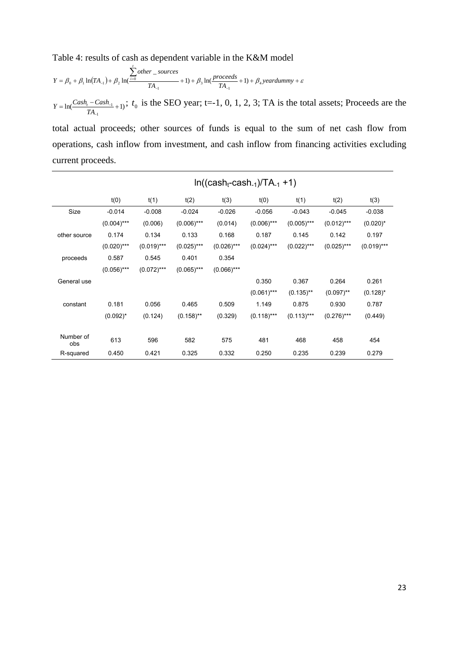Table 4: results of cash as dependent variable in the K&M model

*t*

$$
Y = \beta_0 + \beta_1 \ln(TA_{-1}) + \beta_2 \ln(\frac{\sum_{i=0}other\_sources}{TA_{-1}} + 1) + \beta_3 \ln(\frac{proceeds}{TA_{-1}} + 1) + \beta_4 \, \text{year} \, \text{dummy} + \varepsilon
$$

 $\ln(\frac{Cas_{t}Cas_{t-1}}{T}+1)$ 1  $= \ln \left( \frac{Cash_{t} - Cash_{-1}}{1} + \right)$ L,  $Y = \ln\left(\frac{Cash_t - Cash_t}{TA_{-t}} + 1\right)$ ;  $t_0$  is the SEO year; t=-1, 0, 1, 2, 3; TA is the total assets; Proceeds are the

total actual proceeds; other sources of funds is equal to the sum of net cash flow from operations, cash inflow from investment, and cash inflow from financing activities excluding current proceeds.

|                  |               |               |               |               | $In((cash_t-cash_{-1})/TA_{-1}+1)$ |               |               |              |
|------------------|---------------|---------------|---------------|---------------|------------------------------------|---------------|---------------|--------------|
|                  | t(0)          | t(1)          | t(2)          | t(3)          | t(0)                               | t(1)          | t(2)          | t(3)         |
| Size             | $-0.014$      | $-0.008$      | $-0.024$      | $-0.026$      | $-0.056$                           | $-0.043$      | $-0.045$      | $-0.038$     |
|                  | $(0.004)$ *** | (0.006)       | $(0.006)$ *** | (0.014)       | $(0.006)$ ***                      | $(0.005)$ *** | $(0.012)***$  | $(0.020)^*$  |
| other source     | 0.174         | 0.134         | 0.133         | 0.168         | 0.187                              | 0.145         | 0.142         | 0.197        |
|                  | $(0.020)$ *** | $(0.019)$ *** | $(0.025)$ *** | $(0.026)$ *** | $(0.024)$ ***                      | $(0.022)***$  | $(0.025)$ *** | $(0.019)***$ |
| proceeds         | 0.587         | 0.545         | 0.401         | 0.354         |                                    |               |               |              |
|                  | $(0.056)$ *** | $(0.072)***$  | $(0.065)$ *** | $(0.066)$ *** |                                    |               |               |              |
| General use      |               |               |               |               | 0.350                              | 0.367         | 0.264         | 0.261        |
|                  |               |               |               |               | $(0.061)$ ***                      | $(0.135)$ **  | $(0.097)$ **  | $(0.128)^*$  |
| constant         | 0.181         | 0.056         | 0.465         | 0.509         | 1.149                              | 0.875         | 0.930         | 0.787        |
|                  | $(0.092)^{*}$ | (0.124)       | $(0.158)$ **  | (0.329)       | $(0.118)***$                       | $(0.113)***$  | $(0.276)$ *** | (0.449)      |
| Number of<br>obs | 613           | 596           | 582           | 575           | 481                                | 468           | 458           | 454          |
| R-squared        | 0.450         | 0.421         | 0.325         | 0.332         | 0.250                              | 0.235         | 0.239         | 0.279        |

#### 23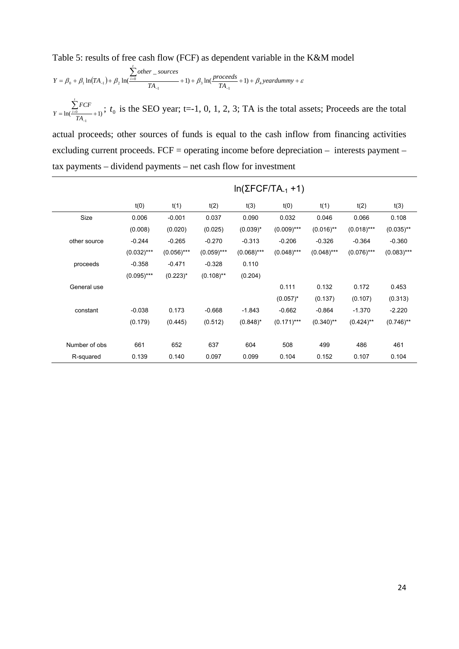Table 5: results of free cash flow (FCF) as dependent variable in the K&M model

$$
Y = \beta_0 + \beta_1 \ln(TA_{-1}) + \beta_2 \ln(\frac{1}{100} + 1) + \beta_3 \ln(\frac{processed}{TA_{-1}} + 1) + \beta_4 \cdot \frac{processed}{TA_{-1}} + \beta_5 \cdot \frac{1}{100} + \beta_6 \cdot \frac{1}{100} + \beta_7 \cdot \frac{1}{100} + \beta_8 \cdot \frac{1}{100} + \beta_9 \cdot \frac{1}{100} + \beta_9 \cdot \frac{1}{100} + \beta_9 \cdot \frac{1}{100} + \beta_9 \cdot \frac{1}{100} + \beta_9 \cdot \frac{1}{100} + \beta_9 \cdot \frac{1}{100} + \beta_9 \cdot \frac{1}{100} + \beta_9 \cdot \frac{1}{100} + \beta_9 \cdot \frac{1}{100} + \beta_9 \cdot \frac{1}{100} + \beta_9 \cdot \frac{1}{100} + \beta_9 \cdot \frac{1}{100} + \beta_9 \cdot \frac{1}{100} + \beta_9 \cdot \frac{1}{100} + \beta_9 \cdot \frac{1}{100} + \beta_9 \cdot \frac{1}{100} + \beta_9 \cdot \frac{1}{100} + \beta_9 \cdot \frac{1}{100} + \beta_9 \cdot \frac{1}{100} + \beta_9 \cdot \frac{1}{100} + \beta_9 \cdot \frac{1}{100} + \beta_9 \cdot \frac{1}{100} + \beta_9 \cdot \frac{1}{100} + \beta_9 \cdot \frac{1}{100} + \beta_9 \cdot \frac{1}{100} + \beta_9 \cdot \frac{1}{100} + \beta_9 \cdot \frac{1}{100} + \beta_9 \cdot \frac{1}{100} + \beta_9 \cdot \frac{1}{100} + \beta_9 \cdot \frac{1}{100} + \beta_9 \cdot \frac{1}{100} + \beta_9 \cdot \frac{1}{100} + \beta_9 \cdot \frac{1}{100} + \beta_9 \cdot \frac{1}{100} + \beta_9 \cdot \frac{1}{100} + \beta_9 \cdot \frac{1}{100} + \beta_9 \cdot \frac{1}{100} + \beta_9 \cdot \frac{1}{100} + \beta_9 \cdot \frac{
$$

 $=$  ln( $\frac{i=0}{TA_{-1}}+1$ )  $\sum_{i=0}$ *TA FCF Y*  $\sum_{i=0}^{n}$  *t*<sub>0</sub>;  $t_0$  is the SEO year; t=-1, 0, 1, 2, 3; TA is the total assets; Proceeds are the total

actual proceeds; other sources of funds is equal to the cash inflow from financing activities excluding current proceeds. FCF = operating income before depreciation – interests payment – tax payments – dividend payments – net cash flow for investment

|               |               |               |              |               | $In(ΣFCF/TA-1 +1)$ |               |               |              |
|---------------|---------------|---------------|--------------|---------------|--------------------|---------------|---------------|--------------|
|               | t(0)          | t(1)          | t(2)         | t(3)          | t(0)               | t(1)          | t(2)          | t(3)         |
| Size          | 0.006         | $-0.001$      | 0.037        | 0.090         | 0.032              | 0.046         | 0.066         | 0.108        |
|               | (0.008)       | (0.020)       | (0.025)      | $(0.039)^*$   | $(0.009)$ ***      | $(0.016)$ **  | $(0.018)$ *** | $(0.035)$ ** |
| other source  | $-0.244$      | $-0.265$      | $-0.270$     | $-0.313$      | $-0.206$           | $-0.326$      | $-0.364$      | $-0.360$     |
|               | $(0.032)***$  | $(0.056)***$  | $(0.059)***$ | $(0.068)$ *** | $(0.048)$ ***      | $(0.048)$ *** | $(0.076)$ *** | $(0.083)***$ |
| proceeds      | $-0.358$      | $-0.471$      | $-0.328$     | 0.110         |                    |               |               |              |
|               | $(0.095)$ *** | $(0.223)^{*}$ | $(0.108)$ ** | (0.204)       |                    |               |               |              |
| General use   |               |               |              |               | 0.111              | 0.132         | 0.172         | 0.453        |
|               |               |               |              |               | $(0.057)^*$        | (0.137)       | (0.107)       | (0.313)      |
| constant      | $-0.038$      | 0.173         | $-0.668$     | $-1.843$      | $-0.662$           | $-0.864$      | $-1.370$      | $-2.220$     |
|               | (0.179)       | (0.445)       | (0.512)      | $(0.848)^*$   | $(0.171)$ ***      | $(0.340)$ **  | $(0.424)$ **  | $(0.746)$ ** |
| Number of obs | 661           | 652           | 637          | 604           | 508                | 499           | 486           | 461          |
| R-squared     | 0.139         | 0.140         | 0.097        | 0.099         | 0.104              | 0.152         | 0.107         | 0.104        |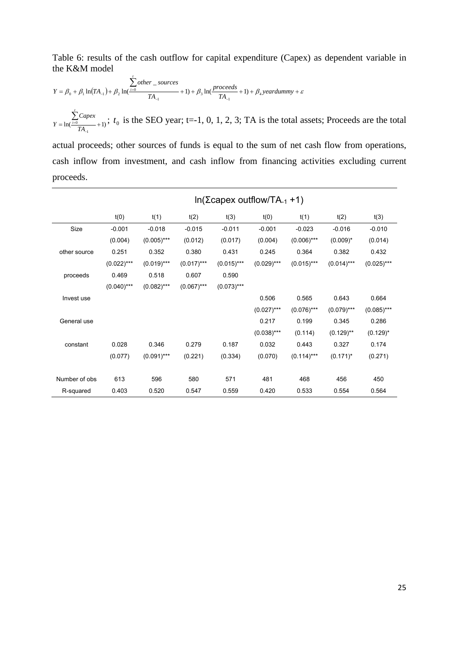Table 6: results of the cash outflow for capital expenditure (Capex) as dependent variable in the K&M model

$$
Y = \beta_0 + \beta_1 \ln(TA_{-1}) + \beta_2 \ln(\frac{N}{100}) + \beta_3 \ln(\frac{process}{TA_{-1}} + 1) + \beta_4 \ln(\frac{process}{TA_{-1}} + 1) + \beta_5 \ln(\frac{process}{TA_{-1}} + 1) + \beta_6 \ln(\frac{process}{TA_{-1}} + 1) + \beta_7 \ln(\frac{process}{TA_{-1}} + 1) + \beta_8 \ln(\frac{process}{TA_{-1}} + 1) + \beta_9 \ln(\frac{process}{TA_{-1}} + 1) + \beta_9 \ln(\frac{process}{TA_{-1}} + 1) + \beta_9 \ln(\frac{process}{TA_{-1}} + 1) + \beta_9 \ln(\frac{process}{TA_{-1}} + 1) + \beta_9 \ln(\frac{process}{TA_{-1}} + 1) + \beta_9 \ln(\frac{process}{TA_{-1}} + 1) + \beta_9 \ln(\frac{process}{TA_{-1}} + 1) + \beta_9 \ln(\frac{process}{TA_{-1}} + 1) + \beta_9 \ln(\frac{process}{TA_{-1}} + 1) + \beta_9 \ln(\frac{process}{TA_{-1}} + 1) + \beta_9 \ln(\frac{process}{TA_{-1}} + 1) + \beta_9 \ln(\frac{process}{TA_{-1}} + 1) + \beta_9 \ln(\frac{process}{TA_{-1}} + 1) + \beta_9 \ln(\frac{process}{TA_{-1}} + 1) + \beta_9 \ln(\frac{process}{TA_{-1}} + 1) + \beta_9 \ln(\frac{process}{TA_{-1}} + 1) + \beta_9 \ln(\frac{process}{TA_{-1}} + 1) + \beta_9 \ln(\frac{process}{TA_{-1}} + 1) + \beta_9 \ln(\frac{process}{TA_{-1}} + 1) + \beta_9 \ln(\frac{process}{TA_{-1}} + 1) + \beta_9 \ln(\frac{process}{TA_{-1}} + 1) + \beta_9 \ln(\frac{process}{TA_{-1}} + 1) + \beta_9 \ln(\frac{process}{TA_{-1}} + 1) + \beta_9 \ln(\frac{process}{TA_{-1}} + 1) + \beta_9 \ln(\frac{process}{TA_{-1}} + 1) + \beta_9 \ln(\frac{process}{TA_{-1}} + 1) + \beta_9 \ln(\frac{process}{TA_{-1}} + 1) + \beta_9 \ln(\frac{process}{TA_{-1}} + 1) + \beta_9 \ln(\frac{
$$

 $\ln(\frac{i=0}{TA_{-1}}+1)$  $=$  ln( $\frac{i=0}{TA_{-1}}$  +  $\sum_{i=0}$ *TA Capex Y*  $\sum_{i=0}^{1} \frac{Capex}{1+i}$ ;  $t_0$  is the SEO year; t=-1, 0, 1, 2, 3; TA is the total assets; Proceeds are the total

actual proceeds; other sources of funds is equal to the sum of net cash flow from operations, cash inflow from investment, and cash inflow from financing activities excluding current proceeds.

|               |               |               |               |              | $ln(Σ$ capex outflow/TA <sub>-1</sub> +1) |               |               |               |
|---------------|---------------|---------------|---------------|--------------|-------------------------------------------|---------------|---------------|---------------|
|               | t(0)          | t(1)          | t(2)          | t(3)         | t(0)                                      | t(1)          | t(2)          | t(3)          |
| Size          | $-0.001$      | $-0.018$      | $-0.015$      | $-0.011$     | $-0.001$                                  | $-0.023$      | $-0.016$      | $-0.010$      |
|               | (0.004)       | $(0.005)$ *** | (0.012)       | (0.017)      | (0.004)                                   | $(0.006)$ *** | $(0.009)^*$   | (0.014)       |
| other source  | 0.251         | 0.352         | 0.380         | 0.431        | 0.245                                     | 0.364         | 0.382         | 0.432         |
|               | $(0.022)***$  | $(0.019)$ *** | $(0.017)$ *** | $(0.015)***$ | $(0.029)$ ***                             | $(0.015)$ *** | $(0.014)***$  | $(0.025)$ *** |
| proceeds      | 0.469         | 0.518         | 0.607         | 0.590        |                                           |               |               |               |
|               | $(0.040)$ *** | $(0.082)$ *** | $(0.067)$ *** | $(0.073)***$ |                                           |               |               |               |
| Invest use    |               |               |               |              | 0.506                                     | 0.565         | 0.643         | 0.664         |
|               |               |               |               |              | $(0.027)$ ***                             | $(0.076)$ *** | $(0.079)$ *** | $(0.085)$ *** |
| General use   |               |               |               |              | 0.217                                     | 0.199         | 0.345         | 0.286         |
|               |               |               |               |              | $(0.038)***$                              | (0.114)       | $(0.129)$ **  | $(0.129)^*$   |
| constant      | 0.028         | 0.346         | 0.279         | 0.187        | 0.032                                     | 0.443         | 0.327         | 0.174         |
|               | (0.077)       | $(0.091)$ *** | (0.221)       | (0.334)      | (0.070)                                   | $(0.114)***$  | $(0.171)^*$   | (0.271)       |
|               |               |               |               |              |                                           |               |               |               |
| Number of obs | 613           | 596           | 580           | 571          | 481                                       | 468           | 456           | 450           |
| R-squared     | 0.403         | 0.520         | 0.547         | 0.559        | 0.420                                     | 0.533         | 0.554         | 0.564         |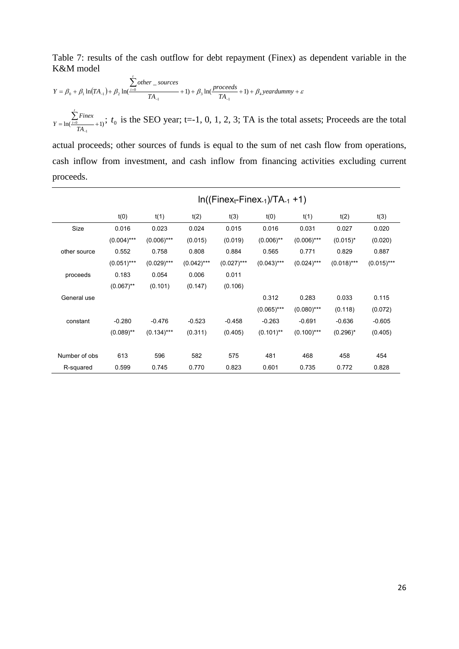Table 7: results of the cash outflow for debt repayment (Finex) as dependent variable in the K&M model

$$
Y = \beta_0 + \beta_1 \ln(TA_{-1}) + \beta_2 \ln(\frac{1-\delta}{T A_{-1}}) + 1) + \beta_3 \ln(\frac{proceeds}{T A_{-1}} + 1) + \beta_4 \, year \, dummy + \varepsilon
$$

 $= \ln(\frac{i=0}{TA_{-1}} + 1)$  $\sum_{i=0}$ *TA Finex Y t*  $\sum_{i=0}^{T}$  *f* is the SEO year; t=-1, 0, 1, 2, 3; TA is the total assets; Proceeds are the total

actual proceeds; other sources of funds is equal to the sum of net cash flow from operations, cash inflow from investment, and cash inflow from financing activities excluding current proceeds.

|               |               |               |              |               | $In((Finex_t-Finex_{-1})/TA_{-1}+1)$ |               |               |              |
|---------------|---------------|---------------|--------------|---------------|--------------------------------------|---------------|---------------|--------------|
|               | t(0)          | t(1)          | t(2)         | t(3)          | t(0)                                 | t(1)          | t(2)          | t(3)         |
| Size          | 0.016         | 0.023         | 0.024        | 0.015         | 0.016                                | 0.031         | 0.027         | 0.020        |
|               | $(0.004)$ *** | $(0.006)$ *** | (0.015)      | (0.019)       | $(0.006)$ **                         | $(0.006)$ *** | $(0.015)^*$   | (0.020)      |
| other source  | 0.552         | 0.758         | 0.808        | 0.884         | 0.565                                | 0.771         | 0.829         | 0.887        |
|               | $(0.051)***$  | $(0.029)$ *** | $(0.042)***$ | $(0.027)$ *** | $(0.043)***$                         | $(0.024)$ *** | $(0.018)$ *** | $(0.015)***$ |
| proceeds      | 0.183         | 0.054         | 0.006        | 0.011         |                                      |               |               |              |
|               | $(0.067)$ **  | (0.101)       | (0.147)      | (0.106)       |                                      |               |               |              |
| General use   |               |               |              |               | 0.312                                | 0.283         | 0.033         | 0.115        |
|               |               |               |              |               | $(0.065)$ ***                        | $(0.080)$ *** | (0.118)       | (0.072)      |
| constant      | $-0.280$      | $-0.476$      | $-0.523$     | $-0.458$      | $-0.263$                             | $-0.691$      | $-0.636$      | $-0.605$     |
|               | $(0.089)$ **  | $(0.134)$ *** | (0.311)      | (0.405)       | $(0.101)$ **                         | $(0.100)$ *** | $(0.296)^*$   | (0.405)      |
|               |               |               |              |               |                                      |               |               |              |
| Number of obs | 613           | 596           | 582          | 575           | 481                                  | 468           | 458           | 454          |
| R-squared     | 0.599         | 0.745         | 0.770        | 0.823         | 0.601                                | 0.735         | 0.772         | 0.828        |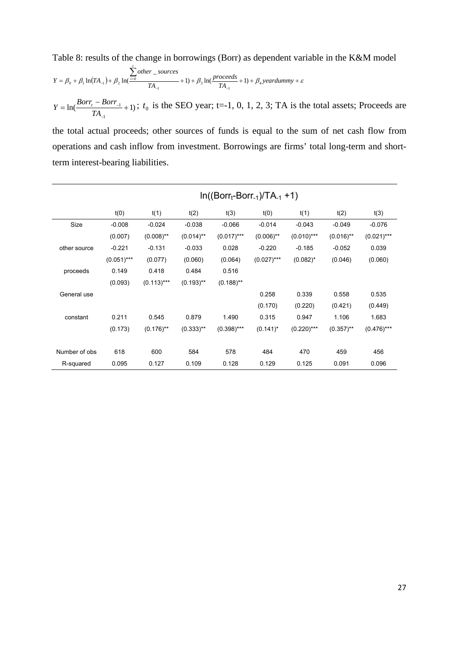Table 8: results of the change in borrowings (Borr) as dependent variable in the K&M model

$$
Y = \beta_0 + \beta_1 \ln(TA_{-1}) + \beta_2 \ln(\frac{\sum_{i=0}^{t} other\_sources}{TA_{-1}} + 1) + \beta_3 \ln(\frac{proceeds}{TA_{-1}} + 1) + \beta_4 \cdot \text{year}dummy + \varepsilon
$$

 $\ln(\frac{10011}{1} + 1)$ 1  $=\ln\left(\frac{Borr_t - Borr_{-1}}{1}\right) +$ L,  $\overline{a}$ *TA*  $Y = \ln\left(\frac{Borr_t - Borr_{-1}}{T} + 1\right)$ ;  $t_0$  is the SEO year; t=-1, 0, 1, 2, 3; TA is the total assets; Proceeds are

the total actual proceeds; other sources of funds is equal to the sum of net cash flow from operations and cash inflow from investment. Borrowings are firms' total long-term and shortterm interest-bearing liabilities.

|               |              |              |              | $In((Borr_t-Borr_{-1})/TA_{-1} + 1)$ |               |               |              |               |
|---------------|--------------|--------------|--------------|--------------------------------------|---------------|---------------|--------------|---------------|
|               | t(0)         | t(1)         | t(2)         | t(3)                                 | t(0)          | t(1)          | t(2)         | t(3)          |
| Size          | $-0.008$     | $-0.024$     | $-0.038$     | $-0.066$                             | $-0.014$      | $-0.043$      | $-0.049$     | $-0.076$      |
|               | (0.007)      | $(0.008)$ ** | $(0.014)$ ** | $(0.017)$ ***                        | $(0.006)$ **  | $(0.010)$ *** | $(0.016)$ ** | $(0.021)***$  |
| other source  | $-0.221$     | $-0.131$     | $-0.033$     | 0.028                                | $-0.220$      | $-0.185$      | $-0.052$     | 0.039         |
|               | $(0.051)***$ | (0.077)      | (0.060)      | (0.064)                              | $(0.027)$ *** | $(0.082)^*$   | (0.046)      | (0.060)       |
| proceeds      | 0.149        | 0.418        | 0.484        | 0.516                                |               |               |              |               |
|               | (0.093)      | $(0.113)***$ | $(0.193)$ ** | $(0.188)$ **                         |               |               |              |               |
| General use   |              |              |              |                                      | 0.258         | 0.339         | 0.558        | 0.535         |
|               |              |              |              |                                      | (0.170)       | (0.220)       | (0.421)      | (0.449)       |
| constant      | 0.211        | 0.545        | 0.879        | 1.490                                | 0.315         | 0.947         | 1.106        | 1.683         |
|               | (0.173)      | $(0.176)$ ** | $(0.333)$ ** | $(0.398)$ ***                        | $(0.141)^*$   | $(0.220)$ *** | $(0.357)$ ** | $(0.476)$ *** |
|               |              |              |              |                                      |               |               |              |               |
| Number of obs | 618          | 600          | 584          | 578                                  | 484           | 470           | 459          | 456           |
| R-squared     | 0.095        | 0.127        | 0.109        | 0.128                                | 0.129         | 0.125         | 0.091        | 0.096         |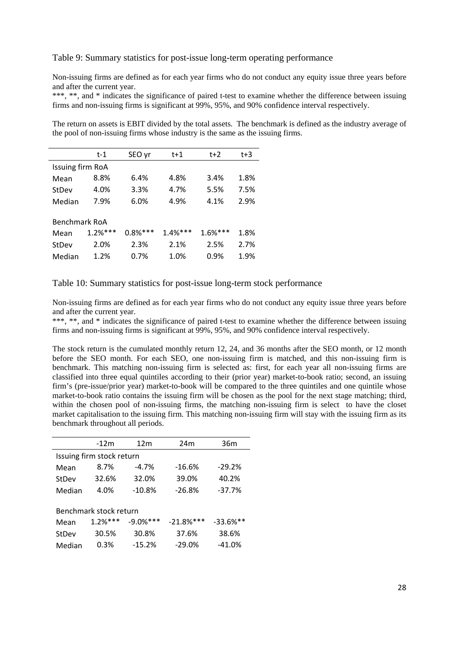#### Table 9: Summary statistics for post-issue long-term operating performance

Non-issuing firms are defined as for each year firms who do not conduct any equity issue three years before and after the current year.

\*\*\*, \*\*, and \* indicates the significance of paired t-test to examine whether the difference between issuing firms and non-issuing firms is significant at 99%, 95%, and 90% confidence interval respectively.

The return on assets is EBIT divided by the total assets. The benchmark is defined as the industry average of the pool of non-issuing firms whose industry is the same as the issuing firms.

|                  | t-1       | SEO vr    | t+1       | $t+2$     | $t+3$ |
|------------------|-----------|-----------|-----------|-----------|-------|
| Issuing firm RoA |           |           |           |           |       |
| Mean             | 8.8%      | 6.4%      | 4.8%      | 3.4%      | 1.8%  |
| StDev            | 4.0%      | 3.3%      | 4.7%      | 5.5%      | 7.5%  |
| Median           | 7.9%      | 6.0%      | 4.9%      | 4.1%      | 2.9%  |
|                  |           |           |           |           |       |
| Benchmark RoA    |           |           |           |           |       |
| Mean             | $1.2%***$ | $0.8%***$ | $1.4%***$ | $1.6%***$ | 1.8%  |
| StDev            | 2.0%      | 2.3%      | 2.1%      | 2.5%      | 2.7%  |
| Median           | 1.2%      | 0.7%      | 1.0%      | 0.9%      | 1.9%  |

Table 10: Summary statistics for post-issue long-term stock performance

Non-issuing firms are defined as for each year firms who do not conduct any equity issue three years before and after the current year.

\*\*\*, \*\*, and \* indicates the significance of paired t-test to examine whether the difference between issuing firms and non-issuing firms is significant at 99%, 95%, and 90% confidence interval respectively.

The stock return is the cumulated monthly return 12, 24, and 36 months after the SEO month, or 12 month before the SEO month. For each SEO, one non-issuing firm is matched, and this non-issuing firm is benchmark. This matching non-issuing firm is selected as: first, for each year all non-issuing firms are classified into three equal quintiles according to their (prior year) market-to-book ratio; second, an issuing firm's (pre-issue/prior year) market-to-book will be compared to the three quintiles and one quintile whose market-to-book ratio contains the issuing firm will be chosen as the pool for the next stage matching; third, within the chosen pool of non-issuing firms, the matching non-issuing firm is select to have the closet market capitalisation to the issuing firm. This matching non-issuing firm will stay with the issuing firm as its benchmark throughout all periods.

|        | $-12m$                    | 12 <sub>m</sub> | 24 <sub>m</sub> | 36m         |
|--------|---------------------------|-----------------|-----------------|-------------|
|        | Issuing firm stock return |                 |                 |             |
| Mean   | 8.7%                      | $-4.7%$         | $-16.6%$        | $-29.2%$    |
| StDev  | 32.6%                     | 32.0%           | 39.0%           | 40.2%       |
| Median | 4.0%                      | $-10.8%$        | $-26.8%$        | $-37.7%$    |
|        |                           |                 |                 |             |
|        | Benchmark stock return    |                 |                 |             |
| Mean   | $1.2%***$                 | $-9.0%$ ***     | $-21.8%$ ***    | $-33.6%$ ** |
| StDev  | 30.5%                     | 30.8%           | 37.6%           | 38.6%       |
| Median | 0.3%                      | $-15.2%$        | $-29.0%$        | $-41.0%$    |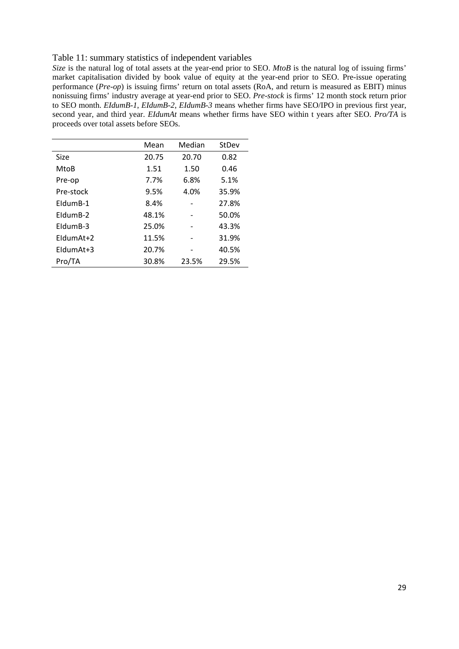## Table 11: summary statistics of independent variables

*Size* is the natural log of total assets at the year-end prior to SEO. *MtoB* is the natural log of issuing firms' market capitalisation divided by book value of equity at the year-end prior to SEO. Pre-issue operating performance (*Pre-op*) is issuing firms' return on total assets (RoA, and return is measured as EBIT) minus nonissuing firms' industry average at year-end prior to SEO. *Pre-stock* is firms' 12 month stock return prior to SEO month. *EIdumB-1*, *EIdumB-2*, *EIdumB-3* means whether firms have SEO/IPO in previous first year, second year, and third year. *EIdumAt* means whether firms have SEO within t years after SEO. *Pro/TA* is proceeds over total assets before SEOs.

|             | Mean  | Median | StDev |
|-------------|-------|--------|-------|
| Size        | 20.75 | 20.70  | 0.82  |
| MtoB        | 1.51  | 1.50   | 0.46  |
| Pre-op      | 7.7%  | 6.8%   | 5.1%  |
| Pre-stock   | 9.5%  | 4.0%   | 35.9% |
| FldumB-1    | 8.4%  |        | 27.8% |
| FldumB-2    | 48.1% |        | 50.0% |
| EldumB-3    | 25.0% |        | 43.3% |
| FldumAt+2   | 11.5% |        | 31.9% |
| $FldumAt+3$ | 20.7% |        | 40.5% |
| Pro/TA      | 30.8% | 23.5%  | 29.5% |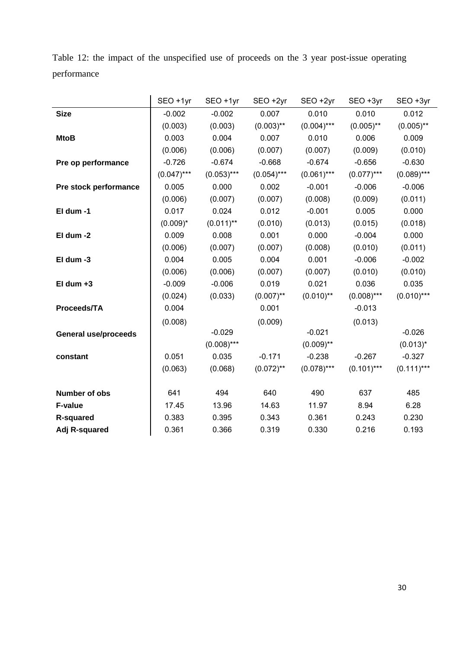|             |  |  | Table 12: the impact of the unspecified use of proceeds on the 3 year post-issue operating |  |  |  |  |
|-------------|--|--|--------------------------------------------------------------------------------------------|--|--|--|--|
| performance |  |  |                                                                                            |  |  |  |  |

|                             | SEO +1yr      | SEO +1yr      | SEO +2yr      | SEO +2yr      | SEO +3yr      | SEO +3yr      |
|-----------------------------|---------------|---------------|---------------|---------------|---------------|---------------|
| <b>Size</b>                 | $-0.002$      | $-0.002$      | 0.007         | 0.010         | 0.010         | 0.012         |
|                             | (0.003)       | (0.003)       | $(0.003)$ **  | $(0.004)$ *** | $(0.005)$ **  | $(0.005)$ **  |
| <b>MtoB</b>                 | 0.003         | 0.004         | 0.007         | 0.010         | 0.006         | 0.009         |
|                             | (0.006)       | (0.006)       | (0.007)       | (0.007)       | (0.009)       | (0.010)       |
| Pre op performance          | $-0.726$      | $-0.674$      | $-0.668$      | $-0.674$      | $-0.656$      | $-0.630$      |
|                             | $(0.047)$ *** | $(0.053)$ *** | $(0.054)$ *** | $(0.061)$ *** | $(0.077)$ *** | $(0.089)$ *** |
| Pre stock performance       | 0.005         | 0.000         | 0.002         | $-0.001$      | $-0.006$      | $-0.006$      |
|                             | (0.006)       | (0.007)       | (0.007)       | (0.008)       | (0.009)       | (0.011)       |
| El dum -1                   | 0.017         | 0.024         | 0.012         | $-0.001$      | 0.005         | 0.000         |
|                             | $(0.009)^*$   | $(0.011)$ **  | (0.010)       | (0.013)       | (0.015)       | (0.018)       |
| El dum -2                   | 0.009         | 0.008         | 0.001         | 0.000         | $-0.004$      | 0.000         |
|                             | (0.006)       | (0.007)       | (0.007)       | (0.008)       | (0.010)       | (0.011)       |
| El dum -3                   | 0.004         | 0.005         | 0.004         | 0.001         | $-0.006$      | $-0.002$      |
|                             | (0.006)       | (0.006)       | (0.007)       | (0.007)       | (0.010)       | (0.010)       |
| $El dum +3$                 | $-0.009$      | $-0.006$      | 0.019         | 0.021         | 0.036         | 0.035         |
|                             | (0.024)       | (0.033)       | $(0.007)$ **  | $(0.010)$ **  | $(0.008)$ *** | $(0.010)$ *** |
| Proceeds/TA                 | 0.004         |               | 0.001         |               | $-0.013$      |               |
|                             | (0.008)       |               | (0.009)       |               | (0.013)       |               |
| <b>General use/proceeds</b> |               | $-0.029$      |               | $-0.021$      |               | $-0.026$      |
|                             |               | $(0.008)$ *** |               | $(0.009)$ **  |               | $(0.013)^*$   |
| constant                    | 0.051         | 0.035         | $-0.171$      | $-0.238$      | $-0.267$      | $-0.327$      |
|                             | (0.063)       | (0.068)       | $(0.072)$ **  | $(0.078)$ *** | $(0.101)$ *** | $(0.111)***$  |
|                             |               |               |               |               |               |               |
| Number of obs               | 641           | 494           | 640           | 490           | 637           | 485           |
| <b>F-value</b>              | 17.45         | 13.96         | 14.63         | 11.97         | 8.94          | 6.28          |
| <b>R-squared</b>            | 0.383         | 0.395         | 0.343         | 0.361         | 0.243         | 0.230         |
| Adj R-squared               | 0.361         | 0.366         | 0.319         | 0.330         | 0.216         | 0.193         |